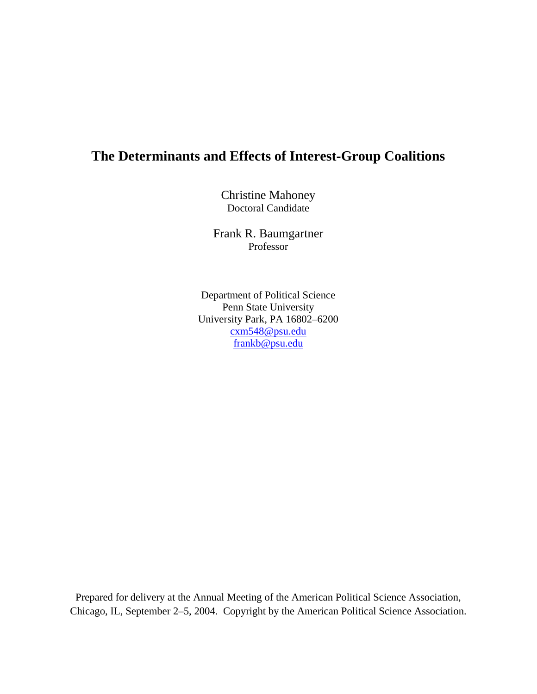# **The Determinants and Effects of Interest-Group Coalitions**

Christine Mahoney Doctoral Candidate

Frank R. Baumgartner Professor

Department of Political Science Penn State University University Park, PA 16802–6200 cxm548@psu.edu frankb@psu.edu

Prepared for delivery at the Annual Meeting of the American Political Science Association, Chicago, IL, September 2–5, 2004. Copyright by the American Political Science Association.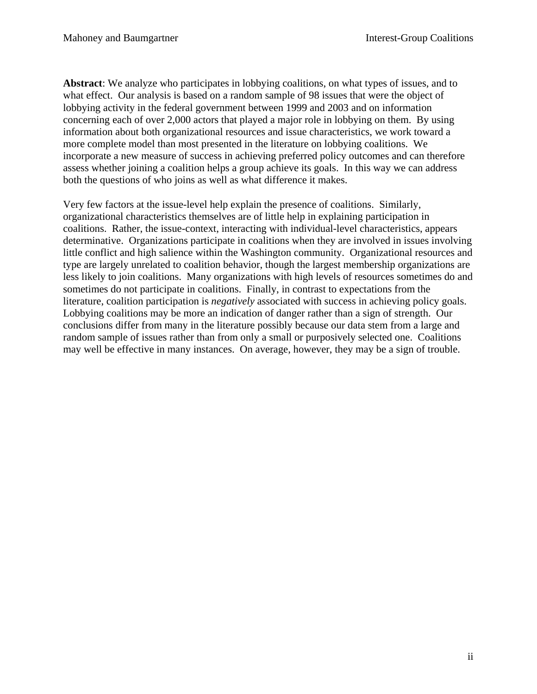**Abstract**: We analyze who participates in lobbying coalitions, on what types of issues, and to what effect. Our analysis is based on a random sample of 98 issues that were the object of lobbying activity in the federal government between 1999 and 2003 and on information concerning each of over 2,000 actors that played a major role in lobbying on them. By using information about both organizational resources and issue characteristics, we work toward a more complete model than most presented in the literature on lobbying coalitions. We incorporate a new measure of success in achieving preferred policy outcomes and can therefore assess whether joining a coalition helps a group achieve its goals. In this way we can address both the questions of who joins as well as what difference it makes.

Very few factors at the issue-level help explain the presence of coalitions. Similarly, organizational characteristics themselves are of little help in explaining participation in coalitions. Rather, the issue-context, interacting with individual-level characteristics, appears determinative. Organizations participate in coalitions when they are involved in issues involving little conflict and high salience within the Washington community. Organizational resources and type are largely unrelated to coalition behavior, though the largest membership organizations are less likely to join coalitions. Many organizations with high levels of resources sometimes do and sometimes do not participate in coalitions. Finally, in contrast to expectations from the literature, coalition participation is *negatively* associated with success in achieving policy goals. Lobbying coalitions may be more an indication of danger rather than a sign of strength. Our conclusions differ from many in the literature possibly because our data stem from a large and random sample of issues rather than from only a small or purposively selected one. Coalitions may well be effective in many instances. On average, however, they may be a sign of trouble.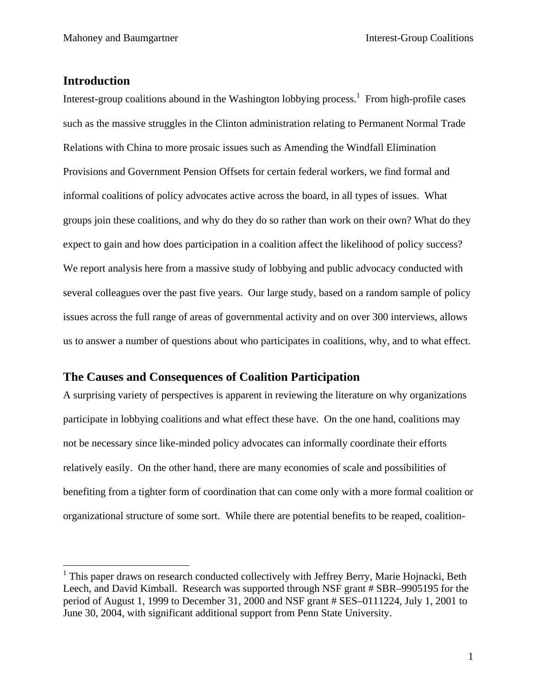# **Introduction**

 $\overline{a}$ 

Interest-group coalitions abound in the Washington lobbying process.<sup>1</sup> From high-profile cases such as the massive struggles in the Clinton administration relating to Permanent Normal Trade Relations with China to more prosaic issues such as Amending the Windfall Elimination Provisions and Government Pension Offsets for certain federal workers, we find formal and informal coalitions of policy advocates active across the board, in all types of issues. What groups join these coalitions, and why do they do so rather than work on their own? What do they expect to gain and how does participation in a coalition affect the likelihood of policy success? We report analysis here from a massive study of lobbying and public advocacy conducted with several colleagues over the past five years. Our large study, based on a random sample of policy issues across the full range of areas of governmental activity and on over 300 interviews, allows us to answer a number of questions about who participates in coalitions, why, and to what effect.

# **The Causes and Consequences of Coalition Participation**

A surprising variety of perspectives is apparent in reviewing the literature on why organizations participate in lobbying coalitions and what effect these have. On the one hand, coalitions may not be necessary since like-minded policy advocates can informally coordinate their efforts relatively easily. On the other hand, there are many economies of scale and possibilities of benefiting from a tighter form of coordination that can come only with a more formal coalition or organizational structure of some sort. While there are potential benefits to be reaped, coalition-

<sup>&</sup>lt;sup>1</sup> This paper draws on research conducted collectively with Jeffrey Berry, Marie Hojnacki, Beth Leech, and David Kimball. Research was supported through NSF grant # SBR–9905195 for the period of August 1, 1999 to December 31, 2000 and NSF grant # SES–0111224, July 1, 2001 to June 30, 2004, with significant additional support from Penn State University.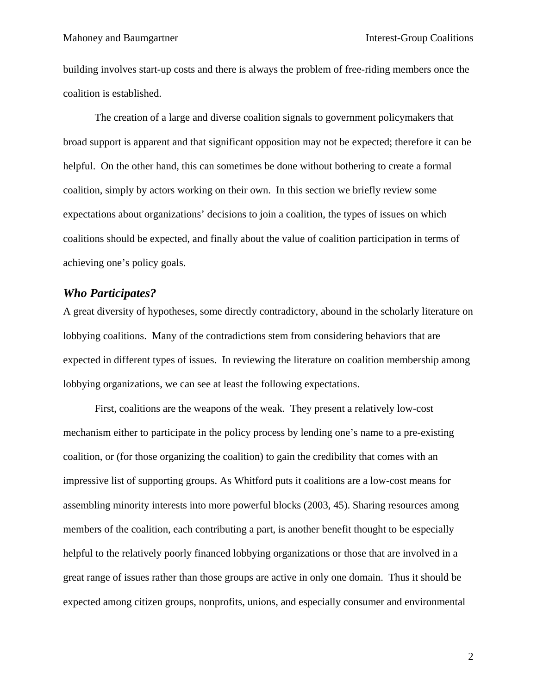building involves start-up costs and there is always the problem of free-riding members once the coalition is established.

The creation of a large and diverse coalition signals to government policymakers that broad support is apparent and that significant opposition may not be expected; therefore it can be helpful. On the other hand, this can sometimes be done without bothering to create a formal coalition, simply by actors working on their own. In this section we briefly review some expectations about organizations' decisions to join a coalition, the types of issues on which coalitions should be expected, and finally about the value of coalition participation in terms of achieving one's policy goals.

# *Who Participates?*

A great diversity of hypotheses, some directly contradictory, abound in the scholarly literature on lobbying coalitions. Many of the contradictions stem from considering behaviors that are expected in different types of issues. In reviewing the literature on coalition membership among lobbying organizations, we can see at least the following expectations.

First, coalitions are the weapons of the weak. They present a relatively low-cost mechanism either to participate in the policy process by lending one's name to a pre-existing coalition, or (for those organizing the coalition) to gain the credibility that comes with an impressive list of supporting groups. As Whitford puts it coalitions are a low-cost means for assembling minority interests into more powerful blocks (2003, 45). Sharing resources among members of the coalition, each contributing a part, is another benefit thought to be especially helpful to the relatively poorly financed lobbying organizations or those that are involved in a great range of issues rather than those groups are active in only one domain. Thus it should be expected among citizen groups, nonprofits, unions, and especially consumer and environmental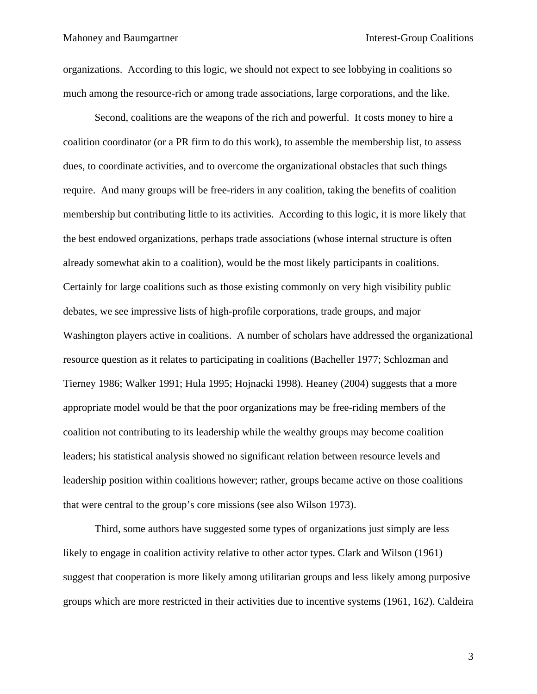organizations. According to this logic, we should not expect to see lobbying in coalitions so much among the resource-rich or among trade associations, large corporations, and the like.

Second, coalitions are the weapons of the rich and powerful. It costs money to hire a coalition coordinator (or a PR firm to do this work), to assemble the membership list, to assess dues, to coordinate activities, and to overcome the organizational obstacles that such things require. And many groups will be free-riders in any coalition, taking the benefits of coalition membership but contributing little to its activities. According to this logic, it is more likely that the best endowed organizations, perhaps trade associations (whose internal structure is often already somewhat akin to a coalition), would be the most likely participants in coalitions. Certainly for large coalitions such as those existing commonly on very high visibility public debates, we see impressive lists of high-profile corporations, trade groups, and major Washington players active in coalitions. A number of scholars have addressed the organizational resource question as it relates to participating in coalitions (Bacheller 1977; Schlozman and Tierney 1986; Walker 1991; Hula 1995; Hojnacki 1998). Heaney (2004) suggests that a more appropriate model would be that the poor organizations may be free-riding members of the coalition not contributing to its leadership while the wealthy groups may become coalition leaders; his statistical analysis showed no significant relation between resource levels and leadership position within coalitions however; rather, groups became active on those coalitions that were central to the group's core missions (see also Wilson 1973).

Third, some authors have suggested some types of organizations just simply are less likely to engage in coalition activity relative to other actor types. Clark and Wilson (1961) suggest that cooperation is more likely among utilitarian groups and less likely among purposive groups which are more restricted in their activities due to incentive systems (1961, 162). Caldeira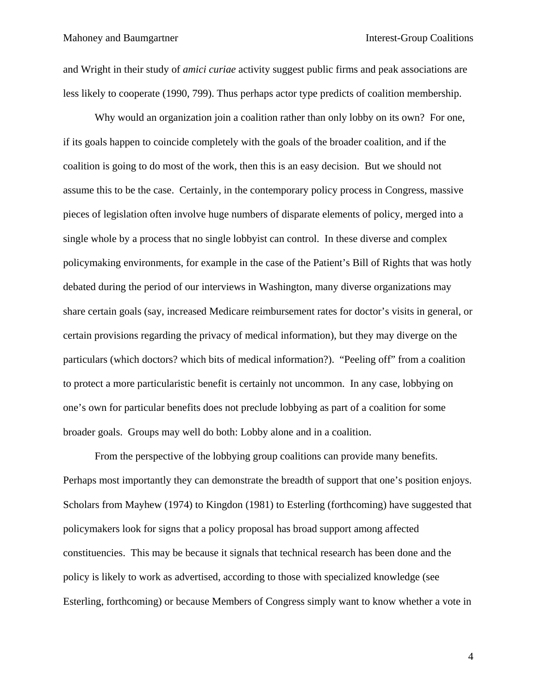and Wright in their study of *amici curiae* activity suggest public firms and peak associations are less likely to cooperate (1990, 799). Thus perhaps actor type predicts of coalition membership.

Why would an organization join a coalition rather than only lobby on its own? For one, if its goals happen to coincide completely with the goals of the broader coalition, and if the coalition is going to do most of the work, then this is an easy decision. But we should not assume this to be the case. Certainly, in the contemporary policy process in Congress, massive pieces of legislation often involve huge numbers of disparate elements of policy, merged into a single whole by a process that no single lobbyist can control. In these diverse and complex policymaking environments, for example in the case of the Patient's Bill of Rights that was hotly debated during the period of our interviews in Washington, many diverse organizations may share certain goals (say, increased Medicare reimbursement rates for doctor's visits in general, or certain provisions regarding the privacy of medical information), but they may diverge on the particulars (which doctors? which bits of medical information?). "Peeling off" from a coalition to protect a more particularistic benefit is certainly not uncommon. In any case, lobbying on one's own for particular benefits does not preclude lobbying as part of a coalition for some broader goals. Groups may well do both: Lobby alone and in a coalition.

From the perspective of the lobbying group coalitions can provide many benefits. Perhaps most importantly they can demonstrate the breadth of support that one's position enjoys. Scholars from Mayhew (1974) to Kingdon (1981) to Esterling (forthcoming) have suggested that policymakers look for signs that a policy proposal has broad support among affected constituencies. This may be because it signals that technical research has been done and the policy is likely to work as advertised, according to those with specialized knowledge (see Esterling, forthcoming) or because Members of Congress simply want to know whether a vote in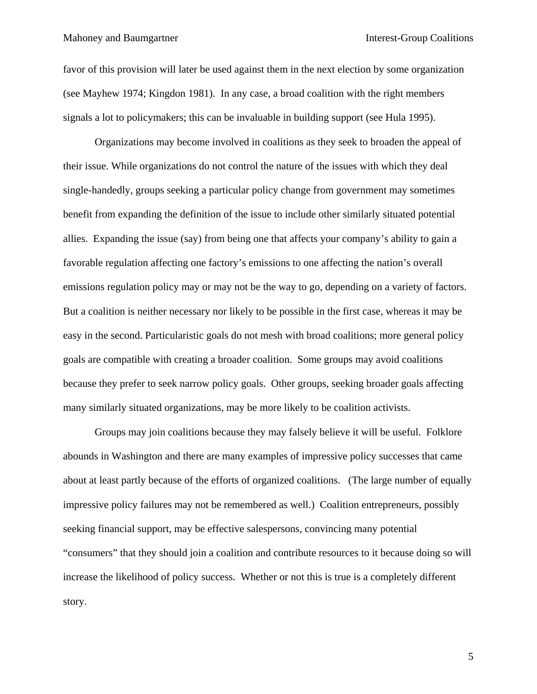#### Mahoney and Baumgartner **Interest-Group Coalitions**

favor of this provision will later be used against them in the next election by some organization (see Mayhew 1974; Kingdon 1981). In any case, a broad coalition with the right members signals a lot to policymakers; this can be invaluable in building support (see Hula 1995).

Organizations may become involved in coalitions as they seek to broaden the appeal of their issue. While organizations do not control the nature of the issues with which they deal single-handedly, groups seeking a particular policy change from government may sometimes benefit from expanding the definition of the issue to include other similarly situated potential allies. Expanding the issue (say) from being one that affects your company's ability to gain a favorable regulation affecting one factory's emissions to one affecting the nation's overall emissions regulation policy may or may not be the way to go, depending on a variety of factors. But a coalition is neither necessary nor likely to be possible in the first case, whereas it may be easy in the second. Particularistic goals do not mesh with broad coalitions; more general policy goals are compatible with creating a broader coalition. Some groups may avoid coalitions because they prefer to seek narrow policy goals. Other groups, seeking broader goals affecting many similarly situated organizations, may be more likely to be coalition activists.

Groups may join coalitions because they may falsely believe it will be useful. Folklore abounds in Washington and there are many examples of impressive policy successes that came about at least partly because of the efforts of organized coalitions. (The large number of equally impressive policy failures may not be remembered as well.) Coalition entrepreneurs, possibly seeking financial support, may be effective salespersons, convincing many potential "consumers" that they should join a coalition and contribute resources to it because doing so will increase the likelihood of policy success. Whether or not this is true is a completely different story.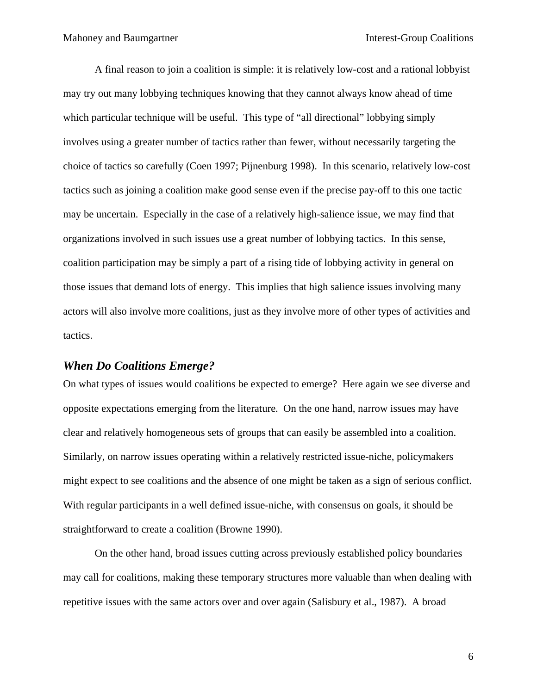A final reason to join a coalition is simple: it is relatively low-cost and a rational lobbyist may try out many lobbying techniques knowing that they cannot always know ahead of time which particular technique will be useful. This type of "all directional" lobbying simply involves using a greater number of tactics rather than fewer, without necessarily targeting the choice of tactics so carefully (Coen 1997; Pijnenburg 1998). In this scenario, relatively low-cost tactics such as joining a coalition make good sense even if the precise pay-off to this one tactic may be uncertain. Especially in the case of a relatively high-salience issue, we may find that organizations involved in such issues use a great number of lobbying tactics. In this sense, coalition participation may be simply a part of a rising tide of lobbying activity in general on those issues that demand lots of energy. This implies that high salience issues involving many actors will also involve more coalitions, just as they involve more of other types of activities and tactics.

## *When Do Coalitions Emerge?*

On what types of issues would coalitions be expected to emerge? Here again we see diverse and opposite expectations emerging from the literature. On the one hand, narrow issues may have clear and relatively homogeneous sets of groups that can easily be assembled into a coalition. Similarly, on narrow issues operating within a relatively restricted issue-niche, policymakers might expect to see coalitions and the absence of one might be taken as a sign of serious conflict. With regular participants in a well defined issue-niche, with consensus on goals, it should be straightforward to create a coalition (Browne 1990).

On the other hand, broad issues cutting across previously established policy boundaries may call for coalitions, making these temporary structures more valuable than when dealing with repetitive issues with the same actors over and over again (Salisbury et al., 1987). A broad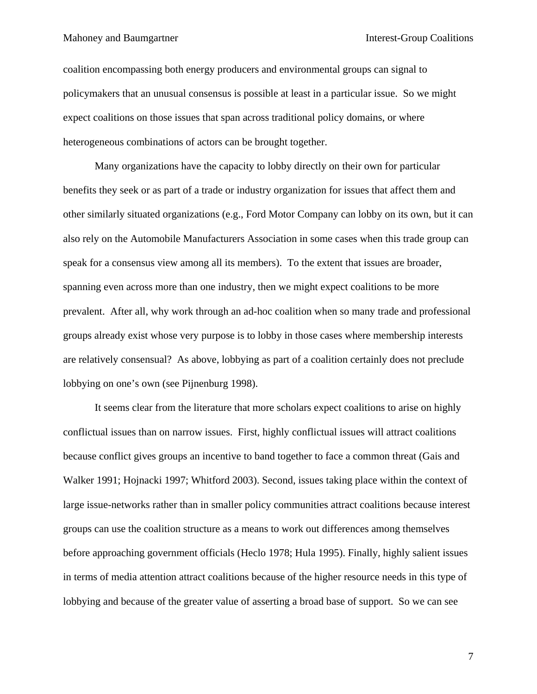Mahoney and Baumgartner **Interest-Group Coalitions** 

coalition encompassing both energy producers and environmental groups can signal to policymakers that an unusual consensus is possible at least in a particular issue. So we might expect coalitions on those issues that span across traditional policy domains, or where heterogeneous combinations of actors can be brought together.

Many organizations have the capacity to lobby directly on their own for particular benefits they seek or as part of a trade or industry organization for issues that affect them and other similarly situated organizations (e.g., Ford Motor Company can lobby on its own, but it can also rely on the Automobile Manufacturers Association in some cases when this trade group can speak for a consensus view among all its members). To the extent that issues are broader, spanning even across more than one industry, then we might expect coalitions to be more prevalent. After all, why work through an ad-hoc coalition when so many trade and professional groups already exist whose very purpose is to lobby in those cases where membership interests are relatively consensual? As above, lobbying as part of a coalition certainly does not preclude lobbying on one's own (see Pijnenburg 1998).

It seems clear from the literature that more scholars expect coalitions to arise on highly conflictual issues than on narrow issues. First, highly conflictual issues will attract coalitions because conflict gives groups an incentive to band together to face a common threat (Gais and Walker 1991; Hojnacki 1997; Whitford 2003). Second, issues taking place within the context of large issue-networks rather than in smaller policy communities attract coalitions because interest groups can use the coalition structure as a means to work out differences among themselves before approaching government officials (Heclo 1978; Hula 1995). Finally, highly salient issues in terms of media attention attract coalitions because of the higher resource needs in this type of lobbying and because of the greater value of asserting a broad base of support. So we can see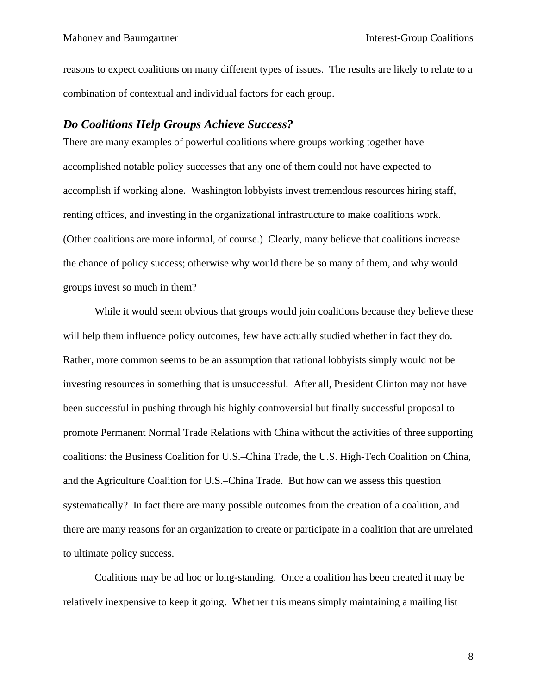reasons to expect coalitions on many different types of issues. The results are likely to relate to a combination of contextual and individual factors for each group.

# *Do Coalitions Help Groups Achieve Success?*

There are many examples of powerful coalitions where groups working together have accomplished notable policy successes that any one of them could not have expected to accomplish if working alone. Washington lobbyists invest tremendous resources hiring staff, renting offices, and investing in the organizational infrastructure to make coalitions work. (Other coalitions are more informal, of course.) Clearly, many believe that coalitions increase the chance of policy success; otherwise why would there be so many of them, and why would groups invest so much in them?

While it would seem obvious that groups would join coalitions because they believe these will help them influence policy outcomes, few have actually studied whether in fact they do. Rather, more common seems to be an assumption that rational lobbyists simply would not be investing resources in something that is unsuccessful. After all, President Clinton may not have been successful in pushing through his highly controversial but finally successful proposal to promote Permanent Normal Trade Relations with China without the activities of three supporting coalitions: the Business Coalition for U.S.–China Trade, the U.S. High-Tech Coalition on China, and the Agriculture Coalition for U.S.–China Trade. But how can we assess this question systematically? In fact there are many possible outcomes from the creation of a coalition, and there are many reasons for an organization to create or participate in a coalition that are unrelated to ultimate policy success.

Coalitions may be ad hoc or long-standing. Once a coalition has been created it may be relatively inexpensive to keep it going. Whether this means simply maintaining a mailing list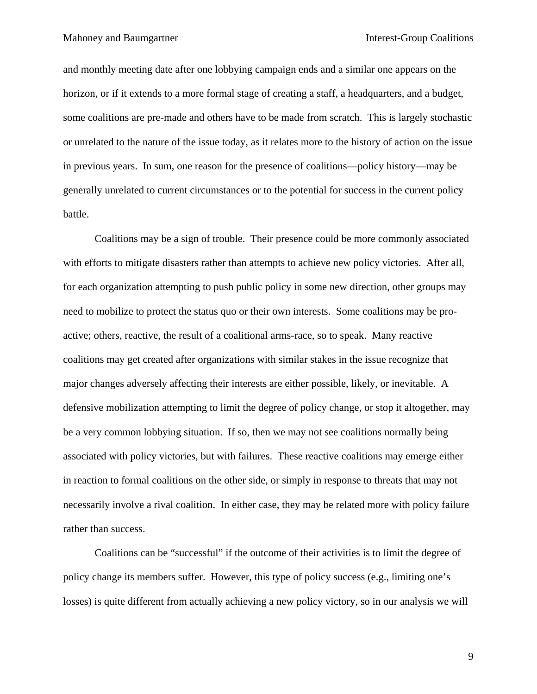and monthly meeting date after one lobbying campaign ends and a similar one appears on the horizon, or if it extends to a more formal stage of creating a staff, a headquarters, and a budget, some coalitions are pre-made and others have to be made from scratch. This is largely stochastic or unrelated to the nature of the issue today, as it relates more to the history of action on the issue in previous years. In sum, one reason for the presence of coalitions—policy history—may be generally unrelated to current circumstances or to the potential for success in the current policy battle.

Coalitions may be a sign of trouble. Their presence could be more commonly associated with efforts to mitigate disasters rather than attempts to achieve new policy victories. After all, for each organization attempting to push public policy in some new direction, other groups may need to mobilize to protect the status quo or their own interests. Some coalitions may be proactive; others, reactive, the result of a coalitional arms-race, so to speak. Many reactive coalitions may get created after organizations with similar stakes in the issue recognize that major changes adversely affecting their interests are either possible, likely, or inevitable. A defensive mobilization attempting to limit the degree of policy change, or stop it altogether, may be a very common lobbying situation. If so, then we may not see coalitions normally being associated with policy victories, but with failures. These reactive coalitions may emerge either in reaction to formal coalitions on the other side, or simply in response to threats that may not necessarily involve a rival coalition. In either case, they may be related more with policy failure rather than success.

Coalitions can be "successful" if the outcome of their activities is to limit the degree of policy change its members suffer. However, this type of policy success (e.g., limiting one's losses) is quite different from actually achieving a new policy victory, so in our analysis we will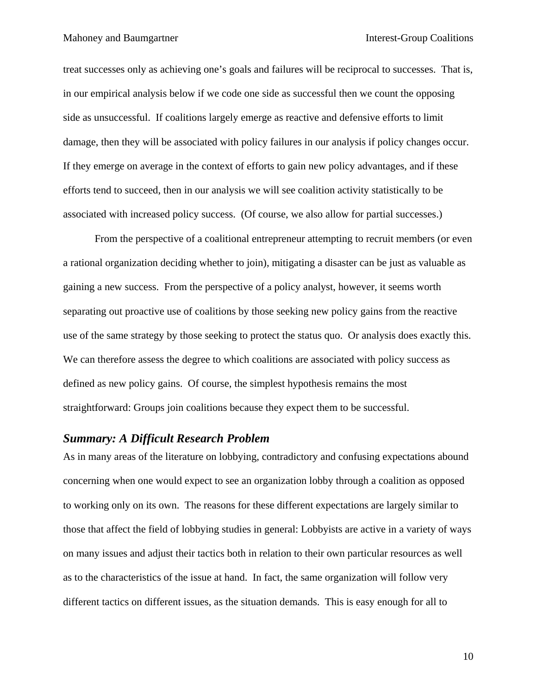treat successes only as achieving one's goals and failures will be reciprocal to successes. That is, in our empirical analysis below if we code one side as successful then we count the opposing side as unsuccessful. If coalitions largely emerge as reactive and defensive efforts to limit damage, then they will be associated with policy failures in our analysis if policy changes occur. If they emerge on average in the context of efforts to gain new policy advantages, and if these efforts tend to succeed, then in our analysis we will see coalition activity statistically to be associated with increased policy success. (Of course, we also allow for partial successes.)

From the perspective of a coalitional entrepreneur attempting to recruit members (or even a rational organization deciding whether to join), mitigating a disaster can be just as valuable as gaining a new success. From the perspective of a policy analyst, however, it seems worth separating out proactive use of coalitions by those seeking new policy gains from the reactive use of the same strategy by those seeking to protect the status quo. Or analysis does exactly this. We can therefore assess the degree to which coalitions are associated with policy success as defined as new policy gains. Of course, the simplest hypothesis remains the most straightforward: Groups join coalitions because they expect them to be successful.

## *Summary: A Difficult Research Problem*

As in many areas of the literature on lobbying, contradictory and confusing expectations abound concerning when one would expect to see an organization lobby through a coalition as opposed to working only on its own. The reasons for these different expectations are largely similar to those that affect the field of lobbying studies in general: Lobbyists are active in a variety of ways on many issues and adjust their tactics both in relation to their own particular resources as well as to the characteristics of the issue at hand. In fact, the same organization will follow very different tactics on different issues, as the situation demands. This is easy enough for all to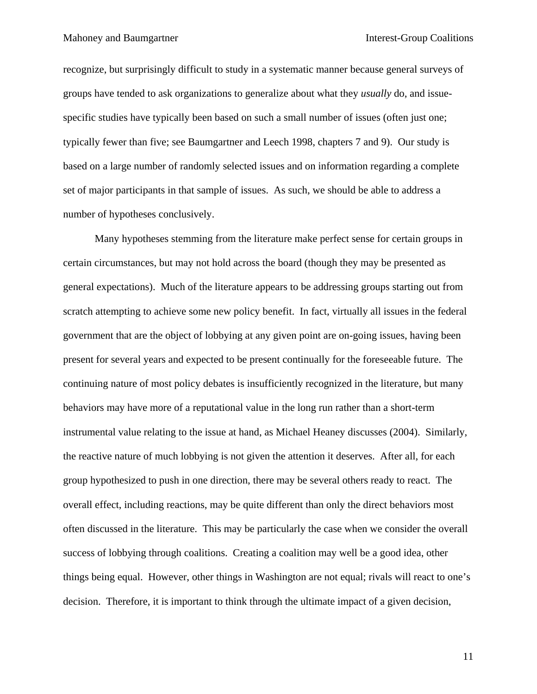recognize, but surprisingly difficult to study in a systematic manner because general surveys of groups have tended to ask organizations to generalize about what they *usually* do, and issuespecific studies have typically been based on such a small number of issues (often just one; typically fewer than five; see Baumgartner and Leech 1998, chapters 7 and 9). Our study is based on a large number of randomly selected issues and on information regarding a complete set of major participants in that sample of issues. As such, we should be able to address a number of hypotheses conclusively.

Many hypotheses stemming from the literature make perfect sense for certain groups in certain circumstances, but may not hold across the board (though they may be presented as general expectations). Much of the literature appears to be addressing groups starting out from scratch attempting to achieve some new policy benefit. In fact, virtually all issues in the federal government that are the object of lobbying at any given point are on-going issues, having been present for several years and expected to be present continually for the foreseeable future. The continuing nature of most policy debates is insufficiently recognized in the literature, but many behaviors may have more of a reputational value in the long run rather than a short-term instrumental value relating to the issue at hand, as Michael Heaney discusses (2004). Similarly, the reactive nature of much lobbying is not given the attention it deserves. After all, for each group hypothesized to push in one direction, there may be several others ready to react. The overall effect, including reactions, may be quite different than only the direct behaviors most often discussed in the literature. This may be particularly the case when we consider the overall success of lobbying through coalitions. Creating a coalition may well be a good idea, other things being equal. However, other things in Washington are not equal; rivals will react to one's decision. Therefore, it is important to think through the ultimate impact of a given decision,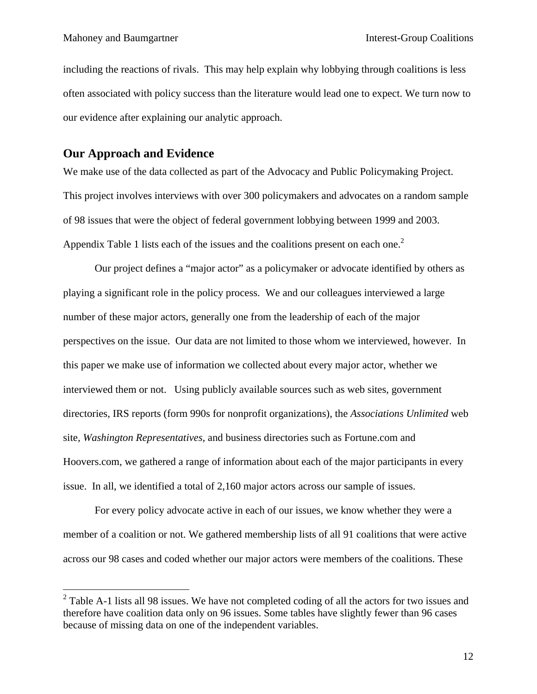including the reactions of rivals. This may help explain why lobbying through coalitions is less often associated with policy success than the literature would lead one to expect. We turn now to our evidence after explaining our analytic approach.

# **Our Approach and Evidence**

 $\overline{a}$ 

We make use of the data collected as part of the Advocacy and Public Policymaking Project. This project involves interviews with over 300 policymakers and advocates on a random sample of 98 issues that were the object of federal government lobbying between 1999 and 2003. Appendix Table 1 lists each of the issues and the coalitions present on each one.<sup>2</sup>

Our project defines a "major actor" as a policymaker or advocate identified by others as playing a significant role in the policy process. We and our colleagues interviewed a large number of these major actors, generally one from the leadership of each of the major perspectives on the issue. Our data are not limited to those whom we interviewed, however. In this paper we make use of information we collected about every major actor, whether we interviewed them or not. Using publicly available sources such as web sites, government directories, IRS reports (form 990s for nonprofit organizations), the *Associations Unlimited* web site, *Washington Representatives*, and business directories such as Fortune.com and Hoovers.com, we gathered a range of information about each of the major participants in every issue. In all, we identified a total of 2,160 major actors across our sample of issues.

For every policy advocate active in each of our issues, we know whether they were a member of a coalition or not. We gathered membership lists of all 91 coalitions that were active across our 98 cases and coded whether our major actors were members of the coalitions. These

 $2^2$  Table A-1 lists all 98 issues. We have not completed coding of all the actors for two issues and therefore have coalition data only on 96 issues. Some tables have slightly fewer than 96 cases because of missing data on one of the independent variables.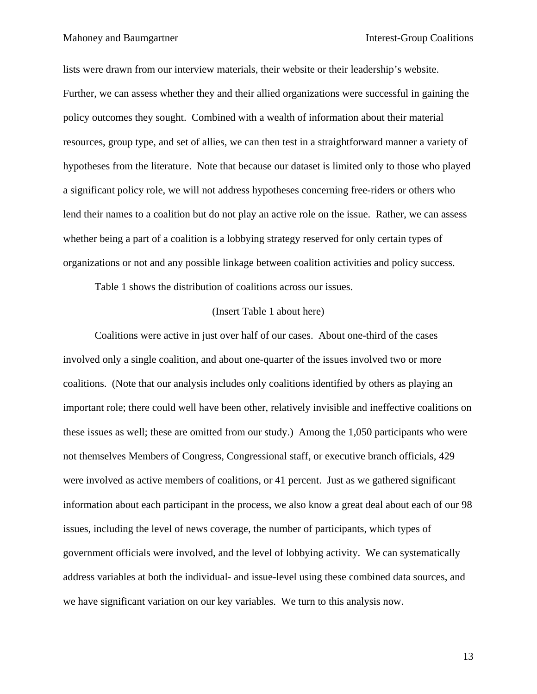lists were drawn from our interview materials, their website or their leadership's website. Further, we can assess whether they and their allied organizations were successful in gaining the policy outcomes they sought. Combined with a wealth of information about their material resources, group type, and set of allies, we can then test in a straightforward manner a variety of hypotheses from the literature. Note that because our dataset is limited only to those who played a significant policy role, we will not address hypotheses concerning free-riders or others who lend their names to a coalition but do not play an active role on the issue. Rather, we can assess whether being a part of a coalition is a lobbying strategy reserved for only certain types of organizations or not and any possible linkage between coalition activities and policy success.

Table 1 shows the distribution of coalitions across our issues.

### (Insert Table 1 about here)

Coalitions were active in just over half of our cases. About one-third of the cases involved only a single coalition, and about one-quarter of the issues involved two or more coalitions. (Note that our analysis includes only coalitions identified by others as playing an important role; there could well have been other, relatively invisible and ineffective coalitions on these issues as well; these are omitted from our study.) Among the 1,050 participants who were not themselves Members of Congress, Congressional staff, or executive branch officials, 429 were involved as active members of coalitions, or 41 percent. Just as we gathered significant information about each participant in the process, we also know a great deal about each of our 98 issues, including the level of news coverage, the number of participants, which types of government officials were involved, and the level of lobbying activity. We can systematically address variables at both the individual- and issue-level using these combined data sources, and we have significant variation on our key variables. We turn to this analysis now.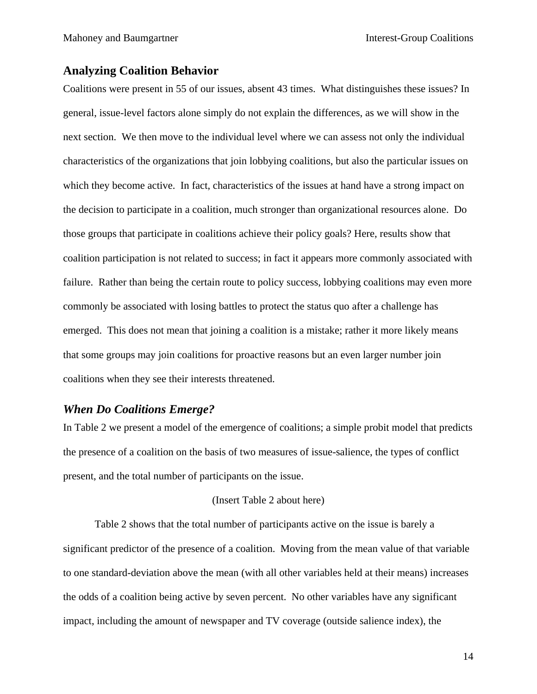# **Analyzing Coalition Behavior**

Coalitions were present in 55 of our issues, absent 43 times. What distinguishes these issues? In general, issue-level factors alone simply do not explain the differences, as we will show in the next section. We then move to the individual level where we can assess not only the individual characteristics of the organizations that join lobbying coalitions, but also the particular issues on which they become active. In fact, characteristics of the issues at hand have a strong impact on the decision to participate in a coalition, much stronger than organizational resources alone. Do those groups that participate in coalitions achieve their policy goals? Here, results show that coalition participation is not related to success; in fact it appears more commonly associated with failure. Rather than being the certain route to policy success, lobbying coalitions may even more commonly be associated with losing battles to protect the status quo after a challenge has emerged. This does not mean that joining a coalition is a mistake; rather it more likely means that some groups may join coalitions for proactive reasons but an even larger number join coalitions when they see their interests threatened.

# *When Do Coalitions Emerge?*

In Table 2 we present a model of the emergence of coalitions; a simple probit model that predicts the presence of a coalition on the basis of two measures of issue-salience, the types of conflict present, and the total number of participants on the issue.

#### (Insert Table 2 about here)

Table 2 shows that the total number of participants active on the issue is barely a significant predictor of the presence of a coalition. Moving from the mean value of that variable to one standard-deviation above the mean (with all other variables held at their means) increases the odds of a coalition being active by seven percent. No other variables have any significant impact, including the amount of newspaper and TV coverage (outside salience index), the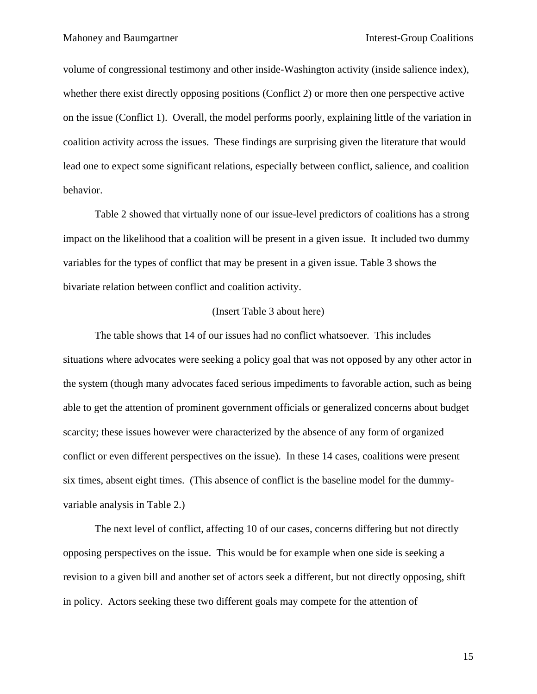volume of congressional testimony and other inside-Washington activity (inside salience index), whether there exist directly opposing positions (Conflict 2) or more then one perspective active on the issue (Conflict 1). Overall, the model performs poorly, explaining little of the variation in coalition activity across the issues. These findings are surprising given the literature that would lead one to expect some significant relations, especially between conflict, salience, and coalition behavior.

Table 2 showed that virtually none of our issue-level predictors of coalitions has a strong impact on the likelihood that a coalition will be present in a given issue. It included two dummy variables for the types of conflict that may be present in a given issue. Table 3 shows the bivariate relation between conflict and coalition activity.

### (Insert Table 3 about here)

The table shows that 14 of our issues had no conflict whatsoever. This includes situations where advocates were seeking a policy goal that was not opposed by any other actor in the system (though many advocates faced serious impediments to favorable action, such as being able to get the attention of prominent government officials or generalized concerns about budget scarcity; these issues however were characterized by the absence of any form of organized conflict or even different perspectives on the issue). In these 14 cases, coalitions were present six times, absent eight times. (This absence of conflict is the baseline model for the dummyvariable analysis in Table 2.)

The next level of conflict, affecting 10 of our cases, concerns differing but not directly opposing perspectives on the issue. This would be for example when one side is seeking a revision to a given bill and another set of actors seek a different, but not directly opposing, shift in policy. Actors seeking these two different goals may compete for the attention of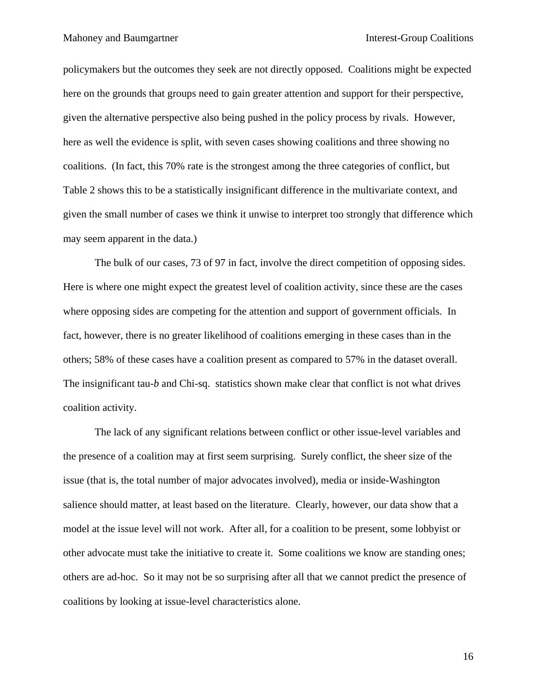policymakers but the outcomes they seek are not directly opposed. Coalitions might be expected here on the grounds that groups need to gain greater attention and support for their perspective, given the alternative perspective also being pushed in the policy process by rivals. However, here as well the evidence is split, with seven cases showing coalitions and three showing no coalitions. (In fact, this 70% rate is the strongest among the three categories of conflict, but Table 2 shows this to be a statistically insignificant difference in the multivariate context, and given the small number of cases we think it unwise to interpret too strongly that difference which may seem apparent in the data.)

The bulk of our cases, 73 of 97 in fact, involve the direct competition of opposing sides. Here is where one might expect the greatest level of coalition activity, since these are the cases where opposing sides are competing for the attention and support of government officials. In fact, however, there is no greater likelihood of coalitions emerging in these cases than in the others; 58% of these cases have a coalition present as compared to 57% in the dataset overall. The insignificant tau-*b* and Chi-sq. statistics shown make clear that conflict is not what drives coalition activity.

The lack of any significant relations between conflict or other issue-level variables and the presence of a coalition may at first seem surprising. Surely conflict, the sheer size of the issue (that is, the total number of major advocates involved), media or inside-Washington salience should matter, at least based on the literature. Clearly, however, our data show that a model at the issue level will not work. After all, for a coalition to be present, some lobbyist or other advocate must take the initiative to create it. Some coalitions we know are standing ones; others are ad-hoc. So it may not be so surprising after all that we cannot predict the presence of coalitions by looking at issue-level characteristics alone.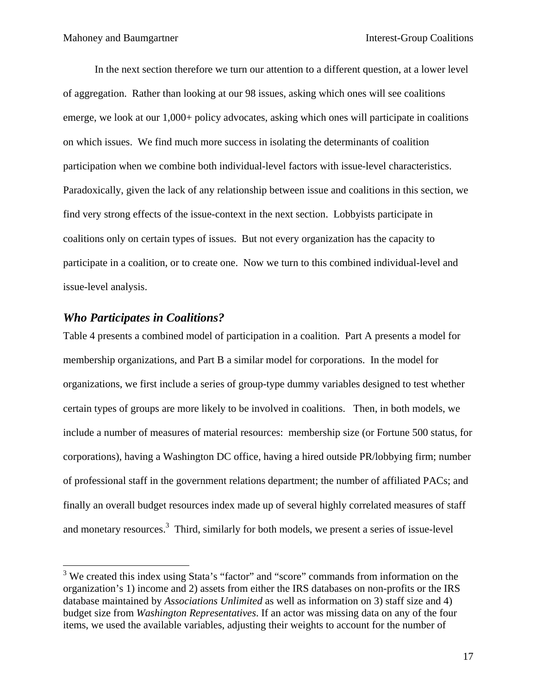In the next section therefore we turn our attention to a different question, at a lower level of aggregation. Rather than looking at our 98 issues, asking which ones will see coalitions emerge, we look at our 1,000+ policy advocates, asking which ones will participate in coalitions on which issues. We find much more success in isolating the determinants of coalition participation when we combine both individual-level factors with issue-level characteristics. Paradoxically, given the lack of any relationship between issue and coalitions in this section, we find very strong effects of the issue-context in the next section. Lobbyists participate in coalitions only on certain types of issues. But not every organization has the capacity to participate in a coalition, or to create one. Now we turn to this combined individual-level and issue-level analysis.

# *Who Participates in Coalitions?*

 $\overline{a}$ 

Table 4 presents a combined model of participation in a coalition. Part A presents a model for membership organizations, and Part B a similar model for corporations. In the model for organizations, we first include a series of group-type dummy variables designed to test whether certain types of groups are more likely to be involved in coalitions. Then, in both models, we include a number of measures of material resources: membership size (or Fortune 500 status, for corporations), having a Washington DC office, having a hired outside PR/lobbying firm; number of professional staff in the government relations department; the number of affiliated PACs; and finally an overall budget resources index made up of several highly correlated measures of staff and monetary resources.<sup>3</sup> Third, similarly for both models, we present a series of issue-level

<sup>&</sup>lt;sup>3</sup> We created this index using Stata's "factor" and "score" commands from information on the organization's 1) income and 2) assets from either the IRS databases on non-profits or the IRS database maintained by *Associations Unlimited* as well as information on 3) staff size and 4) budget size from *Washington Representatives*. If an actor was missing data on any of the four items, we used the available variables, adjusting their weights to account for the number of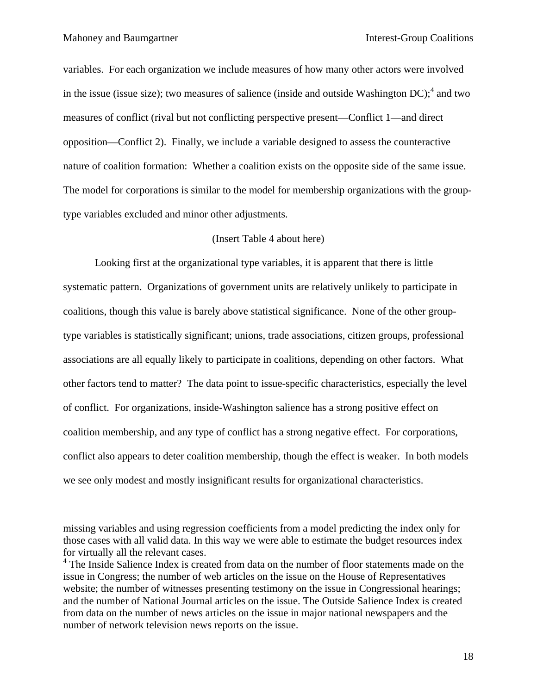1

variables. For each organization we include measures of how many other actors were involved in the issue (issue size); two measures of salience (inside and outside Washington  $DC$ );<sup>4</sup> and two measures of conflict (rival but not conflicting perspective present—Conflict 1—and direct opposition—Conflict 2). Finally, we include a variable designed to assess the counteractive nature of coalition formation: Whether a coalition exists on the opposite side of the same issue. The model for corporations is similar to the model for membership organizations with the grouptype variables excluded and minor other adjustments.

### (Insert Table 4 about here)

Looking first at the organizational type variables, it is apparent that there is little systematic pattern. Organizations of government units are relatively unlikely to participate in coalitions, though this value is barely above statistical significance. None of the other grouptype variables is statistically significant; unions, trade associations, citizen groups, professional associations are all equally likely to participate in coalitions, depending on other factors. What other factors tend to matter? The data point to issue-specific characteristics, especially the level of conflict. For organizations, inside-Washington salience has a strong positive effect on coalition membership, and any type of conflict has a strong negative effect. For corporations, conflict also appears to deter coalition membership, though the effect is weaker. In both models we see only modest and mostly insignificant results for organizational characteristics.

missing variables and using regression coefficients from a model predicting the index only for those cases with all valid data. In this way we were able to estimate the budget resources index for virtually all the relevant cases.

<sup>&</sup>lt;sup>4</sup> The Inside Salience Index is created from data on the number of floor statements made on the issue in Congress; the number of web articles on the issue on the House of Representatives website; the number of witnesses presenting testimony on the issue in Congressional hearings; and the number of National Journal articles on the issue. The Outside Salience Index is created from data on the number of news articles on the issue in major national newspapers and the number of network television news reports on the issue.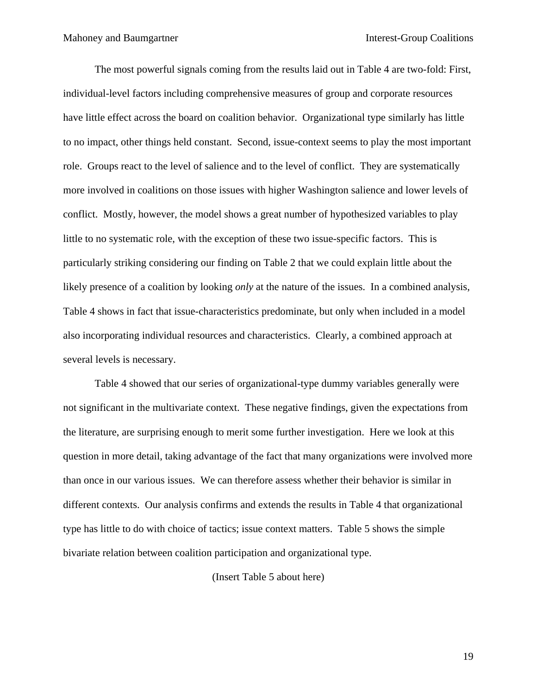The most powerful signals coming from the results laid out in Table 4 are two-fold: First, individual-level factors including comprehensive measures of group and corporate resources have little effect across the board on coalition behavior. Organizational type similarly has little to no impact, other things held constant. Second, issue-context seems to play the most important role. Groups react to the level of salience and to the level of conflict. They are systematically more involved in coalitions on those issues with higher Washington salience and lower levels of conflict. Mostly, however, the model shows a great number of hypothesized variables to play little to no systematic role, with the exception of these two issue-specific factors. This is particularly striking considering our finding on Table 2 that we could explain little about the likely presence of a coalition by looking *only* at the nature of the issues. In a combined analysis, Table 4 shows in fact that issue-characteristics predominate, but only when included in a model also incorporating individual resources and characteristics. Clearly, a combined approach at several levels is necessary.

Table 4 showed that our series of organizational-type dummy variables generally were not significant in the multivariate context. These negative findings, given the expectations from the literature, are surprising enough to merit some further investigation. Here we look at this question in more detail, taking advantage of the fact that many organizations were involved more than once in our various issues. We can therefore assess whether their behavior is similar in different contexts. Our analysis confirms and extends the results in Table 4 that organizational type has little to do with choice of tactics; issue context matters. Table 5 shows the simple bivariate relation between coalition participation and organizational type.

(Insert Table 5 about here)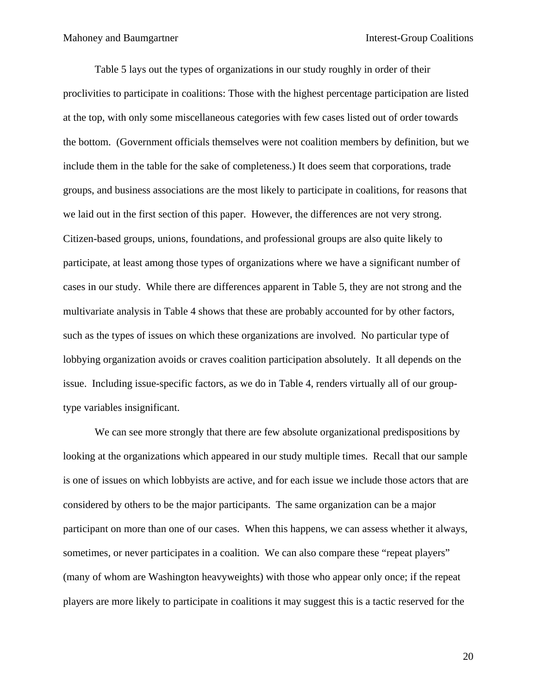Table 5 lays out the types of organizations in our study roughly in order of their proclivities to participate in coalitions: Those with the highest percentage participation are listed at the top, with only some miscellaneous categories with few cases listed out of order towards the bottom. (Government officials themselves were not coalition members by definition, but we include them in the table for the sake of completeness.) It does seem that corporations, trade groups, and business associations are the most likely to participate in coalitions, for reasons that we laid out in the first section of this paper. However, the differences are not very strong. Citizen-based groups, unions, foundations, and professional groups are also quite likely to participate, at least among those types of organizations where we have a significant number of cases in our study. While there are differences apparent in Table 5, they are not strong and the multivariate analysis in Table 4 shows that these are probably accounted for by other factors, such as the types of issues on which these organizations are involved. No particular type of lobbying organization avoids or craves coalition participation absolutely. It all depends on the issue. Including issue-specific factors, as we do in Table 4, renders virtually all of our grouptype variables insignificant.

We can see more strongly that there are few absolute organizational predispositions by looking at the organizations which appeared in our study multiple times. Recall that our sample is one of issues on which lobbyists are active, and for each issue we include those actors that are considered by others to be the major participants. The same organization can be a major participant on more than one of our cases. When this happens, we can assess whether it always, sometimes, or never participates in a coalition. We can also compare these "repeat players" (many of whom are Washington heavyweights) with those who appear only once; if the repeat players are more likely to participate in coalitions it may suggest this is a tactic reserved for the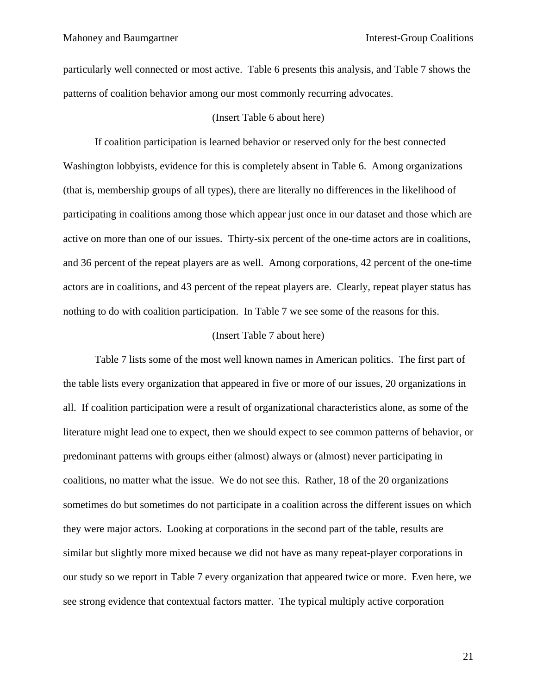particularly well connected or most active. Table 6 presents this analysis, and Table 7 shows the patterns of coalition behavior among our most commonly recurring advocates.

### (Insert Table 6 about here)

If coalition participation is learned behavior or reserved only for the best connected Washington lobbyists, evidence for this is completely absent in Table 6. Among organizations (that is, membership groups of all types), there are literally no differences in the likelihood of participating in coalitions among those which appear just once in our dataset and those which are active on more than one of our issues. Thirty-six percent of the one-time actors are in coalitions, and 36 percent of the repeat players are as well. Among corporations, 42 percent of the one-time actors are in coalitions, and 43 percent of the repeat players are. Clearly, repeat player status has nothing to do with coalition participation. In Table 7 we see some of the reasons for this.

#### (Insert Table 7 about here)

Table 7 lists some of the most well known names in American politics. The first part of the table lists every organization that appeared in five or more of our issues, 20 organizations in all. If coalition participation were a result of organizational characteristics alone, as some of the literature might lead one to expect, then we should expect to see common patterns of behavior, or predominant patterns with groups either (almost) always or (almost) never participating in coalitions, no matter what the issue. We do not see this. Rather, 18 of the 20 organizations sometimes do but sometimes do not participate in a coalition across the different issues on which they were major actors. Looking at corporations in the second part of the table, results are similar but slightly more mixed because we did not have as many repeat-player corporations in our study so we report in Table 7 every organization that appeared twice or more. Even here, we see strong evidence that contextual factors matter. The typical multiply active corporation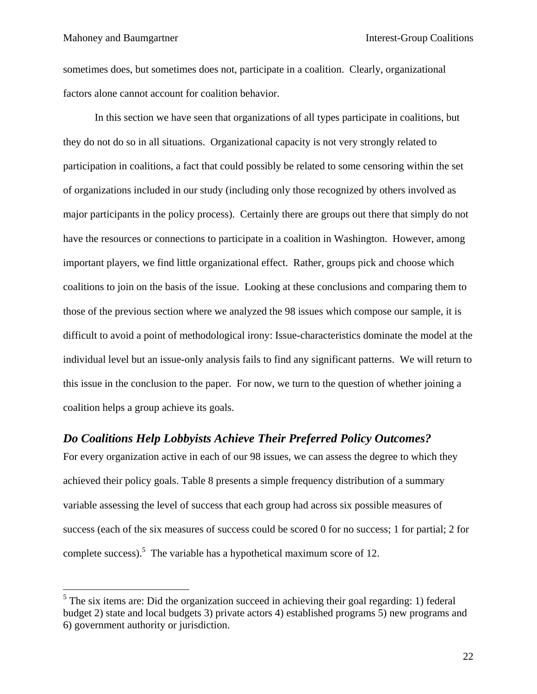1

sometimes does, but sometimes does not, participate in a coalition. Clearly, organizational factors alone cannot account for coalition behavior.

In this section we have seen that organizations of all types participate in coalitions, but they do not do so in all situations. Organizational capacity is not very strongly related to participation in coalitions, a fact that could possibly be related to some censoring within the set of organizations included in our study (including only those recognized by others involved as major participants in the policy process). Certainly there are groups out there that simply do not have the resources or connections to participate in a coalition in Washington. However, among important players, we find little organizational effect. Rather, groups pick and choose which coalitions to join on the basis of the issue. Looking at these conclusions and comparing them to those of the previous section where we analyzed the 98 issues which compose our sample, it is difficult to avoid a point of methodological irony: Issue-characteristics dominate the model at the individual level but an issue-only analysis fails to find any significant patterns. We will return to this issue in the conclusion to the paper. For now, we turn to the question of whether joining a coalition helps a group achieve its goals.

## *Do Coalitions Help Lobbyists Achieve Their Preferred Policy Outcomes?*

For every organization active in each of our 98 issues, we can assess the degree to which they achieved their policy goals. Table 8 presents a simple frequency distribution of a summary variable assessing the level of success that each group had across six possible measures of success (each of the six measures of success could be scored 0 for no success; 1 for partial; 2 for complete success). The variable has a hypothetical maximum score of 12.

 $<sup>5</sup>$  The six items are: Did the organization succeed in achieving their goal regarding: 1) federal</sup> budget 2) state and local budgets 3) private actors 4) established programs 5) new programs and 6) government authority or jurisdiction.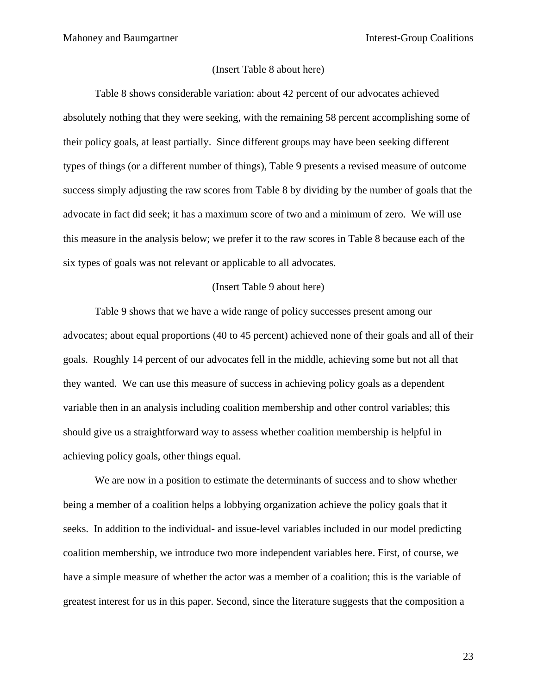### (Insert Table 8 about here)

Table 8 shows considerable variation: about 42 percent of our advocates achieved absolutely nothing that they were seeking, with the remaining 58 percent accomplishing some of their policy goals, at least partially. Since different groups may have been seeking different types of things (or a different number of things), Table 9 presents a revised measure of outcome success simply adjusting the raw scores from Table 8 by dividing by the number of goals that the advocate in fact did seek; it has a maximum score of two and a minimum of zero. We will use this measure in the analysis below; we prefer it to the raw scores in Table 8 because each of the six types of goals was not relevant or applicable to all advocates.

### (Insert Table 9 about here)

Table 9 shows that we have a wide range of policy successes present among our advocates; about equal proportions (40 to 45 percent) achieved none of their goals and all of their goals. Roughly 14 percent of our advocates fell in the middle, achieving some but not all that they wanted. We can use this measure of success in achieving policy goals as a dependent variable then in an analysis including coalition membership and other control variables; this should give us a straightforward way to assess whether coalition membership is helpful in achieving policy goals, other things equal.

We are now in a position to estimate the determinants of success and to show whether being a member of a coalition helps a lobbying organization achieve the policy goals that it seeks. In addition to the individual- and issue-level variables included in our model predicting coalition membership, we introduce two more independent variables here. First, of course, we have a simple measure of whether the actor was a member of a coalition; this is the variable of greatest interest for us in this paper. Second, since the literature suggests that the composition a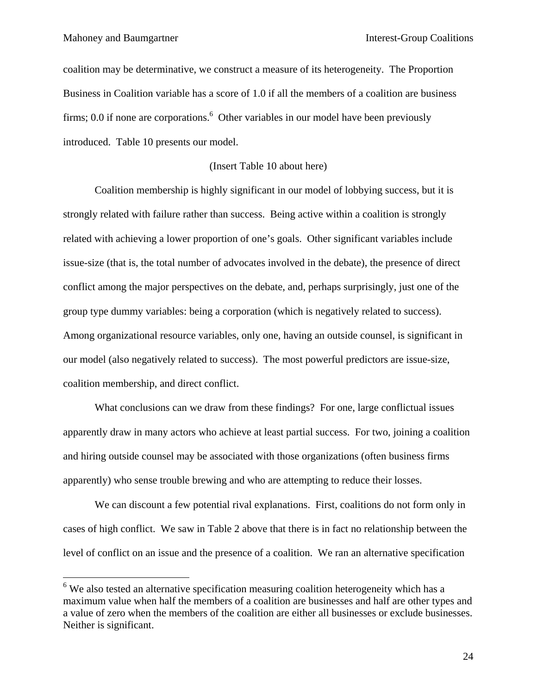$\overline{a}$ 

coalition may be determinative, we construct a measure of its heterogeneity. The Proportion Business in Coalition variable has a score of 1.0 if all the members of a coalition are business firms; 0.0 if none are corporations.<sup>6</sup> Other variables in our model have been previously introduced. Table 10 presents our model.

### (Insert Table 10 about here)

Coalition membership is highly significant in our model of lobbying success, but it is strongly related with failure rather than success. Being active within a coalition is strongly related with achieving a lower proportion of one's goals. Other significant variables include issue-size (that is, the total number of advocates involved in the debate), the presence of direct conflict among the major perspectives on the debate, and, perhaps surprisingly, just one of the group type dummy variables: being a corporation (which is negatively related to success). Among organizational resource variables, only one, having an outside counsel, is significant in our model (also negatively related to success). The most powerful predictors are issue-size, coalition membership, and direct conflict.

What conclusions can we draw from these findings? For one, large conflictual issues apparently draw in many actors who achieve at least partial success. For two, joining a coalition and hiring outside counsel may be associated with those organizations (often business firms apparently) who sense trouble brewing and who are attempting to reduce their losses.

We can discount a few potential rival explanations. First, coalitions do not form only in cases of high conflict. We saw in Table 2 above that there is in fact no relationship between the level of conflict on an issue and the presence of a coalition. We ran an alternative specification

 $6$  We also tested an alternative specification measuring coalition heterogeneity which has a maximum value when half the members of a coalition are businesses and half are other types and a value of zero when the members of the coalition are either all businesses or exclude businesses. Neither is significant.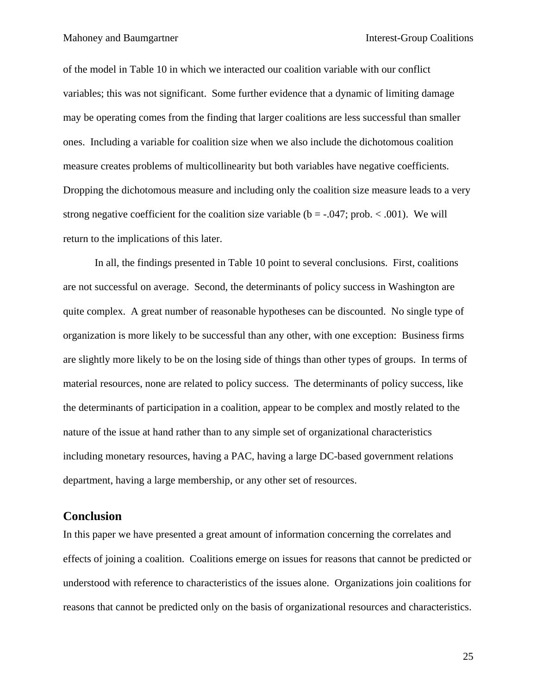of the model in Table 10 in which we interacted our coalition variable with our conflict variables; this was not significant. Some further evidence that a dynamic of limiting damage may be operating comes from the finding that larger coalitions are less successful than smaller ones. Including a variable for coalition size when we also include the dichotomous coalition measure creates problems of multicollinearity but both variables have negative coefficients. Dropping the dichotomous measure and including only the coalition size measure leads to a very strong negative coefficient for the coalition size variable ( $b = -0.047$ ; prob. < .001). We will return to the implications of this later.

In all, the findings presented in Table 10 point to several conclusions. First, coalitions are not successful on average. Second, the determinants of policy success in Washington are quite complex. A great number of reasonable hypotheses can be discounted. No single type of organization is more likely to be successful than any other, with one exception: Business firms are slightly more likely to be on the losing side of things than other types of groups. In terms of material resources, none are related to policy success. The determinants of policy success, like the determinants of participation in a coalition, appear to be complex and mostly related to the nature of the issue at hand rather than to any simple set of organizational characteristics including monetary resources, having a PAC, having a large DC-based government relations department, having a large membership, or any other set of resources.

## **Conclusion**

In this paper we have presented a great amount of information concerning the correlates and effects of joining a coalition. Coalitions emerge on issues for reasons that cannot be predicted or understood with reference to characteristics of the issues alone. Organizations join coalitions for reasons that cannot be predicted only on the basis of organizational resources and characteristics.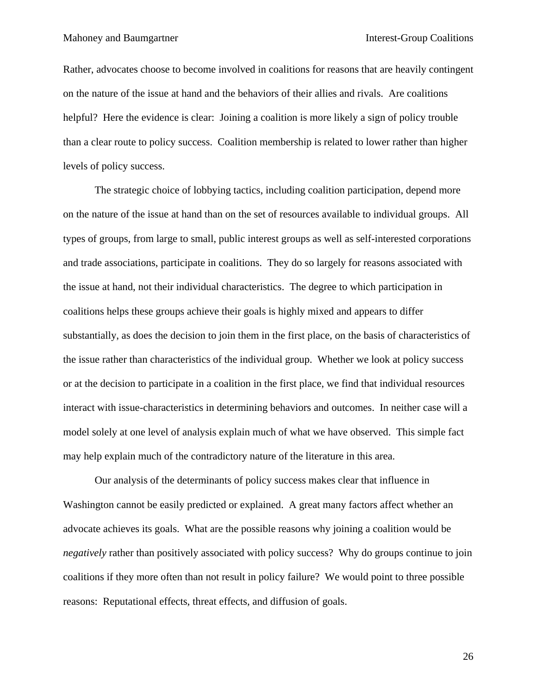Rather, advocates choose to become involved in coalitions for reasons that are heavily contingent on the nature of the issue at hand and the behaviors of their allies and rivals. Are coalitions helpful? Here the evidence is clear: Joining a coalition is more likely a sign of policy trouble than a clear route to policy success. Coalition membership is related to lower rather than higher levels of policy success.

The strategic choice of lobbying tactics, including coalition participation, depend more on the nature of the issue at hand than on the set of resources available to individual groups. All types of groups, from large to small, public interest groups as well as self-interested corporations and trade associations, participate in coalitions. They do so largely for reasons associated with the issue at hand, not their individual characteristics. The degree to which participation in coalitions helps these groups achieve their goals is highly mixed and appears to differ substantially, as does the decision to join them in the first place, on the basis of characteristics of the issue rather than characteristics of the individual group. Whether we look at policy success or at the decision to participate in a coalition in the first place, we find that individual resources interact with issue-characteristics in determining behaviors and outcomes. In neither case will a model solely at one level of analysis explain much of what we have observed. This simple fact may help explain much of the contradictory nature of the literature in this area.

Our analysis of the determinants of policy success makes clear that influence in Washington cannot be easily predicted or explained. A great many factors affect whether an advocate achieves its goals. What are the possible reasons why joining a coalition would be *negatively* rather than positively associated with policy success? Why do groups continue to join coalitions if they more often than not result in policy failure? We would point to three possible reasons: Reputational effects, threat effects, and diffusion of goals.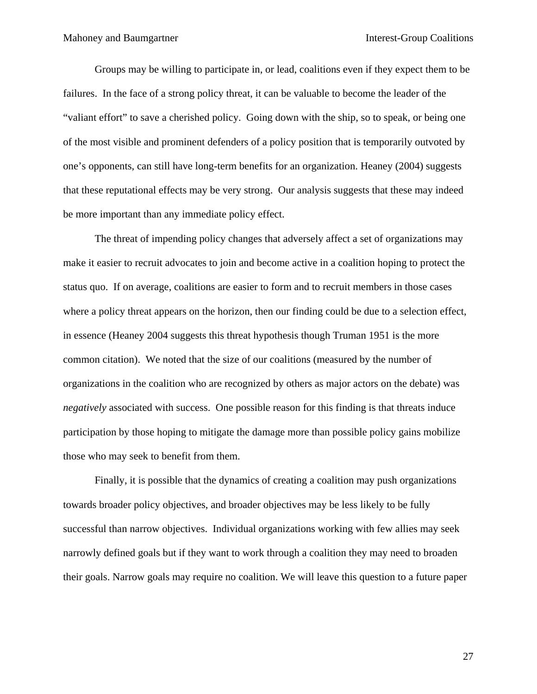Groups may be willing to participate in, or lead, coalitions even if they expect them to be failures. In the face of a strong policy threat, it can be valuable to become the leader of the "valiant effort" to save a cherished policy. Going down with the ship, so to speak, or being one of the most visible and prominent defenders of a policy position that is temporarily outvoted by one's opponents, can still have long-term benefits for an organization. Heaney (2004) suggests that these reputational effects may be very strong. Our analysis suggests that these may indeed be more important than any immediate policy effect.

The threat of impending policy changes that adversely affect a set of organizations may make it easier to recruit advocates to join and become active in a coalition hoping to protect the status quo. If on average, coalitions are easier to form and to recruit members in those cases where a policy threat appears on the horizon, then our finding could be due to a selection effect, in essence (Heaney 2004 suggests this threat hypothesis though Truman 1951 is the more common citation). We noted that the size of our coalitions (measured by the number of organizations in the coalition who are recognized by others as major actors on the debate) was *negatively* associated with success. One possible reason for this finding is that threats induce participation by those hoping to mitigate the damage more than possible policy gains mobilize those who may seek to benefit from them.

Finally, it is possible that the dynamics of creating a coalition may push organizations towards broader policy objectives, and broader objectives may be less likely to be fully successful than narrow objectives. Individual organizations working with few allies may seek narrowly defined goals but if they want to work through a coalition they may need to broaden their goals. Narrow goals may require no coalition. We will leave this question to a future paper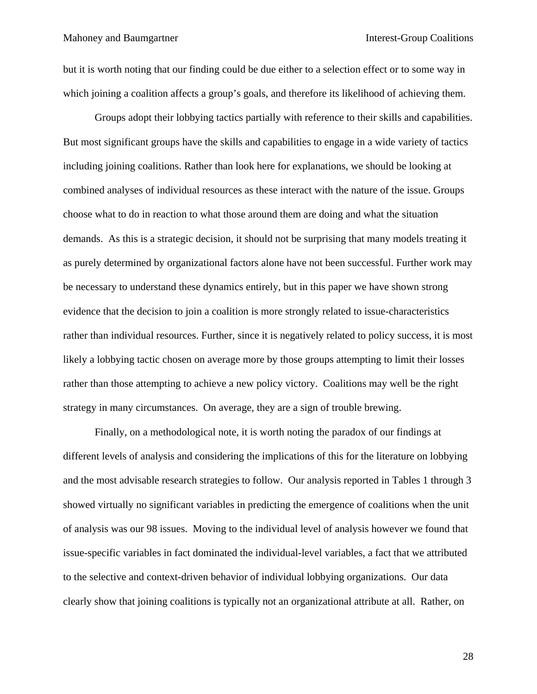but it is worth noting that our finding could be due either to a selection effect or to some way in which joining a coalition affects a group's goals, and therefore its likelihood of achieving them.

Groups adopt their lobbying tactics partially with reference to their skills and capabilities. But most significant groups have the skills and capabilities to engage in a wide variety of tactics including joining coalitions. Rather than look here for explanations, we should be looking at combined analyses of individual resources as these interact with the nature of the issue. Groups choose what to do in reaction to what those around them are doing and what the situation demands. As this is a strategic decision, it should not be surprising that many models treating it as purely determined by organizational factors alone have not been successful. Further work may be necessary to understand these dynamics entirely, but in this paper we have shown strong evidence that the decision to join a coalition is more strongly related to issue-characteristics rather than individual resources. Further, since it is negatively related to policy success, it is most likely a lobbying tactic chosen on average more by those groups attempting to limit their losses rather than those attempting to achieve a new policy victory. Coalitions may well be the right strategy in many circumstances. On average, they are a sign of trouble brewing.

Finally, on a methodological note, it is worth noting the paradox of our findings at different levels of analysis and considering the implications of this for the literature on lobbying and the most advisable research strategies to follow. Our analysis reported in Tables 1 through 3 showed virtually no significant variables in predicting the emergence of coalitions when the unit of analysis was our 98 issues. Moving to the individual level of analysis however we found that issue-specific variables in fact dominated the individual-level variables, a fact that we attributed to the selective and context-driven behavior of individual lobbying organizations. Our data clearly show that joining coalitions is typically not an organizational attribute at all. Rather, on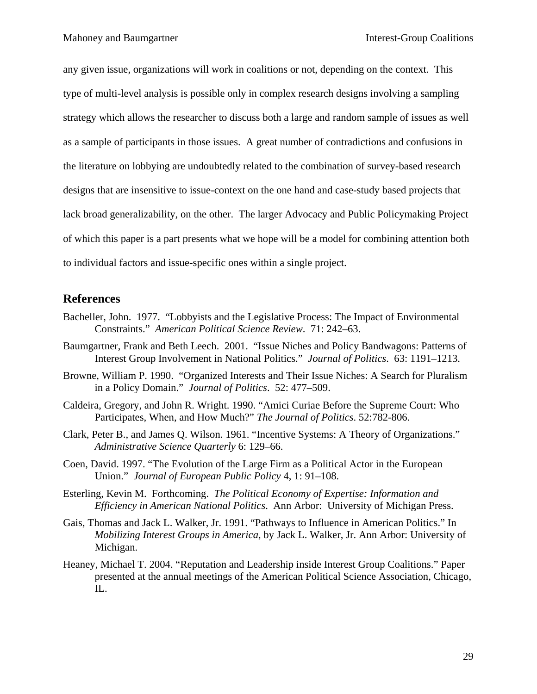any given issue, organizations will work in coalitions or not, depending on the context. This type of multi-level analysis is possible only in complex research designs involving a sampling strategy which allows the researcher to discuss both a large and random sample of issues as well as a sample of participants in those issues. A great number of contradictions and confusions in the literature on lobbying are undoubtedly related to the combination of survey-based research designs that are insensitive to issue-context on the one hand and case-study based projects that lack broad generalizability, on the other. The larger Advocacy and Public Policymaking Project of which this paper is a part presents what we hope will be a model for combining attention both to individual factors and issue-specific ones within a single project.

# **References**

- Bacheller, John. 1977. "Lobbyists and the Legislative Process: The Impact of Environmental Constraints." *American Political Science Review*. 71: 242–63.
- Baumgartner, Frank and Beth Leech. 2001. "Issue Niches and Policy Bandwagons: Patterns of Interest Group Involvement in National Politics." *Journal of Politics*. 63: 1191–1213.
- Browne, William P. 1990. "Organized Interests and Their Issue Niches: A Search for Pluralism in a Policy Domain." *Journal of Politics*. 52: 477–509.
- Caldeira, Gregory, and John R. Wright. 1990. "Amici Curiae Before the Supreme Court: Who Participates, When, and How Much?" *The Journal of Politics*. 52:782-806.
- Clark, Peter B., and James Q. Wilson. 1961. "Incentive Systems: A Theory of Organizations." *Administrative Science Quarterly* 6: 129–66.
- Coen, David. 1997. "The Evolution of the Large Firm as a Political Actor in the European Union." *Journal of European Public Policy* 4, 1: 91–108.
- Esterling, Kevin M. Forthcoming. *The Political Economy of Expertise: Information and Efficiency in American National Politics*. Ann Arbor: University of Michigan Press.
- Gais, Thomas and Jack L. Walker, Jr. 1991. "Pathways to Influence in American Politics." In *Mobilizing Interest Groups in America*, by Jack L. Walker, Jr. Ann Arbor: University of Michigan.
- Heaney, Michael T. 2004. "Reputation and Leadership inside Interest Group Coalitions." Paper presented at the annual meetings of the American Political Science Association, Chicago, IL.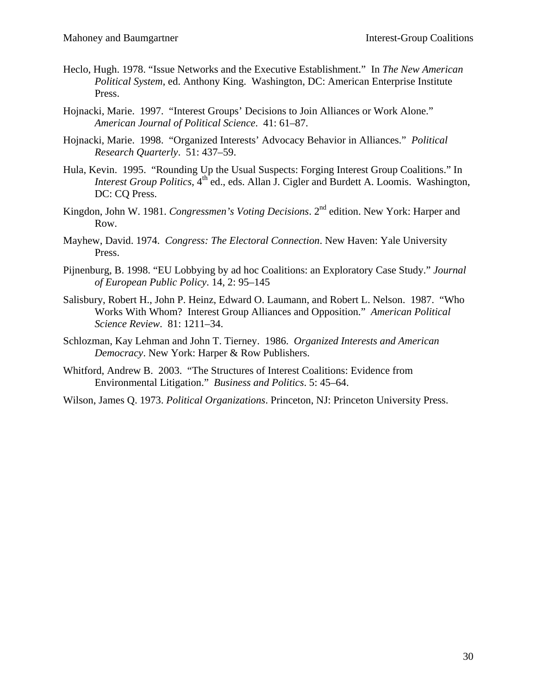- Heclo, Hugh. 1978. "Issue Networks and the Executive Establishment." In *The New American Political System*, ed. Anthony King. Washington, DC: American Enterprise Institute Press.
- Hojnacki, Marie. 1997. "Interest Groups' Decisions to Join Alliances or Work Alone." *American Journal of Political Science*. 41: 61–87.
- Hojnacki, Marie. 1998. "Organized Interests' Advocacy Behavior in Alliances." *Political Research Quarterly*. 51: 437–59.
- Hula, Kevin. 1995. "Rounding Up the Usual Suspects: Forging Interest Group Coalitions." In *Interest Group Politics*, 4<sup>th</sup> ed., eds. Allan J. Cigler and Burdett A. Loomis. Washington, DC: CO Press.
- Kingdon, John W. 1981. *Congressmen's Voting Decisions*. 2nd edition. New York: Harper and Row.
- Mayhew, David. 1974. *Congress: The Electoral Connection*. New Haven: Yale University Press.
- Pijnenburg, B. 1998. "EU Lobbying by ad hoc Coalitions: an Exploratory Case Study." *Journal of European Public Policy*. 14, 2: 95–145
- Salisbury, Robert H., John P. Heinz, Edward O. Laumann, and Robert L. Nelson. 1987. "Who Works With Whom? Interest Group Alliances and Opposition." *American Political Science Review*. 81: 1211–34.
- Schlozman, Kay Lehman and John T. Tierney. 1986. *Organized Interests and American Democracy*. New York: Harper & Row Publishers.
- Whitford, Andrew B. 2003. "The Structures of Interest Coalitions: Evidence from Environmental Litigation." *Business and Politics*. 5: 45–64.
- Wilson, James Q. 1973. *Political Organizations*. Princeton, NJ: Princeton University Press.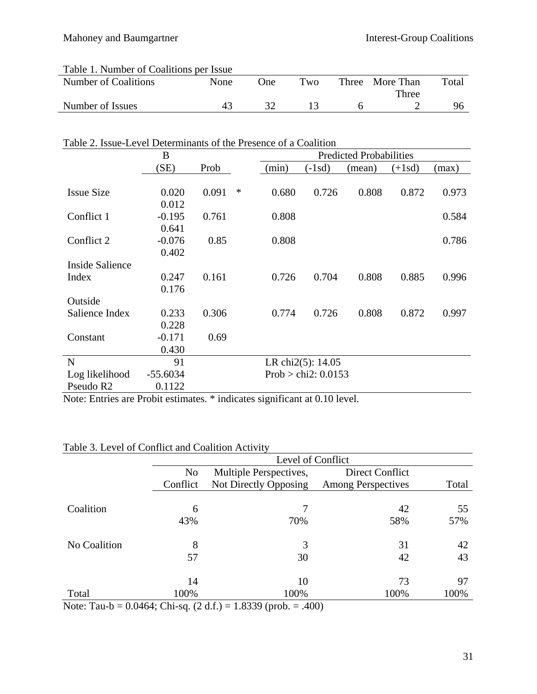| Table 1. Number of Coalitions per Issue |      |      |     |                 |       |
|-----------------------------------------|------|------|-----|-----------------|-------|
| Number of Coalitions                    | None | One) | Two | Three More Than | Total |
|                                         |      |      |     | Three           |       |
| Number of Issues                        | 43   |      |     |                 |       |
|                                         |      |      |     |                 |       |

# Table 2. Issue-Level Determinants of the Presence of a Coalition

|                       | B          |       |   | <b>Predicted Probabilities</b> |                       |        |          |       |
|-----------------------|------------|-------|---|--------------------------------|-----------------------|--------|----------|-------|
|                       | (SE)       | Prob  |   | (min)                          | $(-1sd)$              | (mean) | $(+1sd)$ | (max) |
|                       |            |       |   |                                |                       |        |          |       |
| <b>Issue Size</b>     | 0.020      | 0.091 | ∗ | 0.680                          | 0.726                 | 0.808  | 0.872    | 0.973 |
|                       | 0.012      |       |   |                                |                       |        |          |       |
| Conflict 1            | $-0.195$   | 0.761 |   | 0.808                          |                       |        |          | 0.584 |
|                       | 0.641      |       |   |                                |                       |        |          |       |
| Conflict 2            | $-0.076$   | 0.85  |   | 0.808                          |                       |        |          | 0.786 |
|                       | 0.402      |       |   |                                |                       |        |          |       |
| Inside Salience       |            |       |   |                                |                       |        |          |       |
| Index                 | 0.247      | 0.161 |   | 0.726                          | 0.704                 | 0.808  | 0.885    | 0.996 |
|                       | 0.176      |       |   |                                |                       |        |          |       |
| Outside               |            |       |   |                                |                       |        |          |       |
| Salience Index        | 0.233      | 0.306 |   | 0.774                          | 0.726                 | 0.808  | 0.872    | 0.997 |
|                       | 0.228      |       |   |                                |                       |        |          |       |
| Constant              | $-0.171$   | 0.69  |   |                                |                       |        |          |       |
|                       | 0.430      |       |   |                                |                       |        |          |       |
| $\mathbf N$           | 91         |       |   |                                | LR chi2(5): 14.05     |        |          |       |
| Log likelihood        | $-55.6034$ |       |   |                                | Prob > chi2: $0.0153$ |        |          |       |
| Pseudo R <sub>2</sub> | 0.1122     |       |   |                                |                       |        |          |       |

Note: Entries are Probit estimates. \* indicates significant at 0.10 level.

| Table 3. Level of Conflict and Coalition Activity |  |  |  |  |  |  |
|---------------------------------------------------|--|--|--|--|--|--|
|---------------------------------------------------|--|--|--|--|--|--|

|              |                | Level of Conflict      |                           |       |
|--------------|----------------|------------------------|---------------------------|-------|
|              | N <sub>o</sub> | Multiple Perspectives, | Direct Conflict           |       |
|              | Conflict       | Not Directly Opposing  | <b>Among Perspectives</b> | Total |
|              |                |                        |                           |       |
| Coalition    | 6              |                        | 42                        | 55    |
|              | 43%            | 70%                    | 58%                       | 57%   |
| No Coalition | 8              | 3                      | 31                        | 42    |
|              | 57             | 30                     | 42                        | 43    |
|              | 14             | 10                     | 73                        | 97    |
| Total        | 100%           | 100%                   | 100%                      | 100%  |

Note: Tau-b =  $0.0464$ ; Chi-sq.  $(2 d.f.) = 1.8339$  (prob. = .400)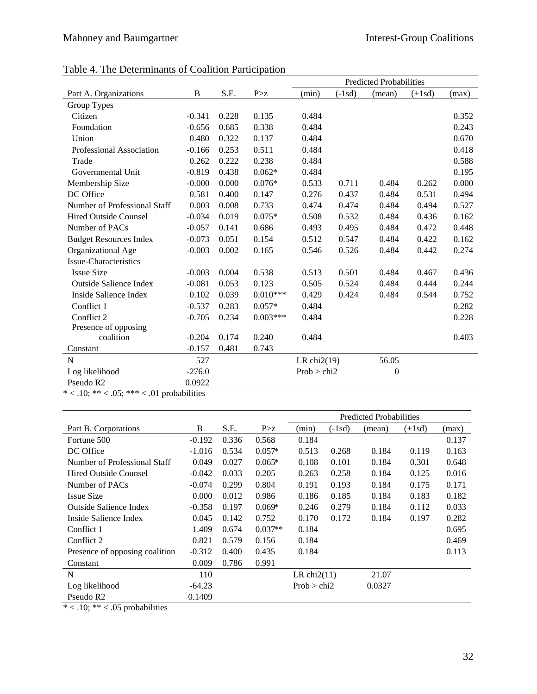|                               |          |       |            |                |          | <b>Predicted Probabilities</b> |          |       |
|-------------------------------|----------|-------|------------|----------------|----------|--------------------------------|----------|-------|
| Part A. Organizations         | B        | S.E.  | P > z      | (min)          | $(-1sd)$ | (mean)                         | $(+1sd)$ | (max) |
| Group Types                   |          |       |            |                |          |                                |          |       |
| Citizen                       | $-0.341$ | 0.228 | 0.135      | 0.484          |          |                                |          | 0.352 |
| Foundation                    | $-0.656$ | 0.685 | 0.338      | 0.484          |          |                                |          | 0.243 |
| Union                         | 0.480    | 0.322 | 0.137      | 0.484          |          |                                |          | 0.670 |
| Professional Association      | $-0.166$ | 0.253 | 0.511      | 0.484          |          |                                |          | 0.418 |
| Trade                         | 0.262    | 0.222 | 0.238      | 0.484          |          |                                |          | 0.588 |
| Governmental Unit             | $-0.819$ | 0.438 | $0.062*$   | 0.484          |          |                                |          | 0.195 |
| Membership Size               | $-0.000$ | 0.000 | $0.076*$   | 0.533          | 0.711    | 0.484                          | 0.262    | 0.000 |
| DC Office                     | 0.581    | 0.400 | 0.147      | 0.276          | 0.437    | 0.484                          | 0.531    | 0.494 |
| Number of Professional Staff  | 0.003    | 0.008 | 0.733      | 0.474          | 0.474    | 0.484                          | 0.494    | 0.527 |
| <b>Hired Outside Counsel</b>  | $-0.034$ | 0.019 | $0.075*$   | 0.508          | 0.532    | 0.484                          | 0.436    | 0.162 |
| Number of PACs                | $-0.057$ | 0.141 | 0.686      | 0.493          | 0.495    | 0.484                          | 0.472    | 0.448 |
| <b>Budget Resources Index</b> | $-0.073$ | 0.051 | 0.154      | 0.512          | 0.547    | 0.484                          | 0.422    | 0.162 |
| Organizational Age            | $-0.003$ | 0.002 | 0.165      | 0.546          | 0.526    | 0.484                          | 0.442    | 0.274 |
| <b>Issue-Characteristics</b>  |          |       |            |                |          |                                |          |       |
| <b>Issue Size</b>             | $-0.003$ | 0.004 | 0.538      | 0.513          | 0.501    | 0.484                          | 0.467    | 0.436 |
| <b>Outside Salience Index</b> | $-0.081$ | 0.053 | 0.123      | 0.505          | 0.524    | 0.484                          | 0.444    | 0.244 |
| Inside Salience Index         | 0.102    | 0.039 | $0.010***$ | 0.429          | 0.424    | 0.484                          | 0.544    | 0.752 |
| Conflict 1                    | $-0.537$ | 0.283 | $0.057*$   | 0.484          |          |                                |          | 0.282 |
| Conflict 2                    | $-0.705$ | 0.234 | $0.003***$ | 0.484          |          |                                |          | 0.228 |
| Presence of opposing          |          |       |            |                |          |                                |          |       |
| coalition                     | $-0.204$ | 0.174 | 0.240      | 0.484          |          |                                |          | 0.403 |
| Constant                      | $-0.157$ | 0.481 | 0.743      |                |          |                                |          |       |
| N                             | 527      |       |            | LR chi $2(19)$ |          | 56.05                          |          |       |
| Log likelihood                | $-276.0$ |       |            | Prob > chi2    |          | $\theta$                       |          |       |
| Pseudo R2                     | 0.0922   |       |            |                |          |                                |          |       |

# Table 4. The Determinants of Coalition Participation

 $* < .10; ** < .05; ** < .01$  probabilities

|                                |          |       |           |                |          | <b>Predicted Probabilities</b> |          |       |
|--------------------------------|----------|-------|-----------|----------------|----------|--------------------------------|----------|-------|
| Part B. Corporations           | B        | S.E.  | P > z     | (min)          | $(-1sd)$ | (mean)                         | $(+1sd)$ | (max) |
| Fortune 500                    | $-0.192$ | 0.336 | 0.568     | 0.184          |          |                                |          | 0.137 |
| DC Office                      | $-1.016$ | 0.534 | $0.057*$  | 0.513          | 0.268    | 0.184                          | 0.119    | 0.163 |
| Number of Professional Staff   | 0.049    | 0.027 | $0.065*$  | 0.108          | 0.101    | 0.184                          | 0.301    | 0.648 |
| Hired Outside Counsel          | $-0.042$ | 0.033 | 0.205     | 0.263          | 0.258    | 0.184                          | 0.125    | 0.016 |
| Number of PACs                 | $-0.074$ | 0.299 | 0.804     | 0.191          | 0.193    | 0.184                          | 0.175    | 0.171 |
| <b>Issue Size</b>              | 0.000    | 0.012 | 0.986     | 0.186          | 0.185    | 0.184                          | 0.183    | 0.182 |
| Outside Salience Index         | $-0.358$ | 0.197 | $0.069*$  | 0.246          | 0.279    | 0.184                          | 0.112    | 0.033 |
| Inside Salience Index          | 0.045    | 0.142 | 0.752     | 0.170          | 0.172    | 0.184                          | 0.197    | 0.282 |
| Conflict 1                     | 1.409    | 0.674 | $0.037**$ | 0.184          |          |                                |          | 0.695 |
| Conflict 2                     | 0.821    | 0.579 | 0.156     | 0.184          |          |                                |          | 0.469 |
| Presence of opposing coalition | $-0.312$ | 0.400 | 0.435     | 0.184          |          |                                |          | 0.113 |
| Constant                       | 0.009    | 0.786 | 0.991     |                |          |                                |          |       |
| N                              | 110      |       |           | LR chi $2(11)$ |          | 21.07                          |          |       |
| Log likelihood                 | $-64.23$ |       |           | Prob > chi2    |          | 0.0327                         |          |       |
| Pseudo R <sub>2</sub>          | 0.1409   |       |           |                |          |                                |          |       |

 $* < .10; ** < .05$  probabilities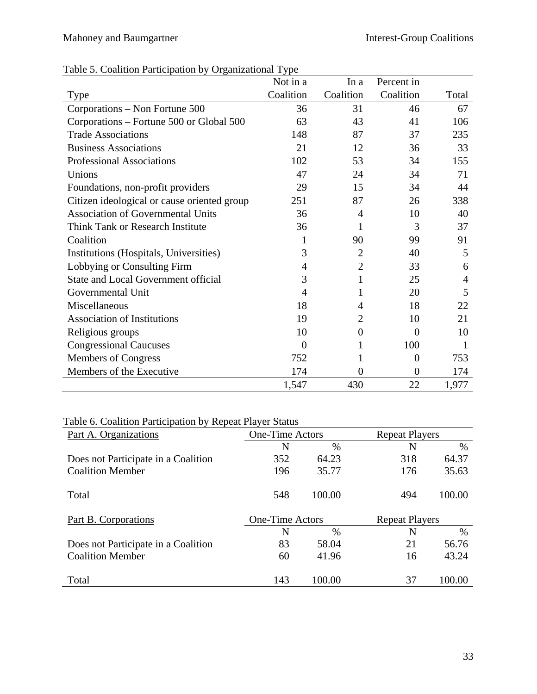|  |  | Table 5. Coalition Participation by Organizational Type |  |
|--|--|---------------------------------------------------------|--|
|  |  |                                                         |  |

|                                             | Not in a       | In a             | Percent in     |       |
|---------------------------------------------|----------------|------------------|----------------|-------|
| Type                                        | Coalition      | Coalition        | Coalition      | Total |
| Corporations – Non Fortune 500              | 36             | 31               | 46             | 67    |
| Corporations – Fortune 500 or Global 500    | 63             | 43               | 41             | 106   |
| <b>Trade Associations</b>                   | 148            | 87               | 37             | 235   |
| <b>Business Associations</b>                | 21             | 12               | 36             | 33    |
| <b>Professional Associations</b>            | 102            | 53               | 34             | 155   |
| Unions                                      | 47             | 24               | 34             | 71    |
| Foundations, non-profit providers           | 29             | 15               | 34             | 44    |
| Citizen ideological or cause oriented group | 251            | 87               | 26             | 338   |
| <b>Association of Governmental Units</b>    | 36             | 4                | 10             | 40    |
| Think Tank or Research Institute            | 36             | 1                | 3              | 37    |
| Coalition                                   |                | 90               | 99             | 91    |
| Institutions (Hospitals, Universities)      | 3              | $\overline{2}$   | 40             | 5     |
| Lobbying or Consulting Firm                 | 4              | $\overline{2}$   | 33             | 6     |
| State and Local Government official         | 3              | $\mathbf{1}$     | 25             | 4     |
| Governmental Unit                           | $\overline{4}$ | 1                | 20             | 5     |
| Miscellaneous                               | 18             | 4                | 18             | 22    |
| <b>Association of Institutions</b>          | 19             | $\overline{2}$   | 10             | 21    |
| Religious groups                            | 10             | $\boldsymbol{0}$ | $\overline{0}$ | 10    |
| <b>Congressional Caucuses</b>               | $\Omega$       | 1                | 100            | 1     |
| <b>Members of Congress</b>                  | 752            |                  | $\overline{0}$ | 753   |
| Members of the Executive                    | 174            | 0                | $\overline{0}$ | 174   |
|                                             | 1,547          | 430              | 22             | 1,977 |

# Table 6. Coalition Participation by Repeat Player Status

| Part A. Organizations               | <b>One-Time Actors</b> |        | <b>Repeat Players</b> |               |
|-------------------------------------|------------------------|--------|-----------------------|---------------|
|                                     | N                      | $\%$   | N                     | $\frac{0}{0}$ |
| Does not Participate in a Coalition | 352                    | 64.23  | 318                   | 64.37         |
| <b>Coalition Member</b>             | 196                    | 35.77  | 176                   | 35.63         |
| Total                               | 548                    | 100.00 | 494                   | 100.00        |
| Part B. Corporations                | <b>One-Time Actors</b> |        | <b>Repeat Players</b> |               |
|                                     | N                      | $\%$   | N                     | $\frac{0}{0}$ |
| Does not Participate in a Coalition | 83                     | 58.04  | 21                    | 56.76         |
| <b>Coalition Member</b>             | 60                     | 41.96  | 16                    | 43.24         |
| Total                               | 143                    | 100.00 | 37                    | 100.00        |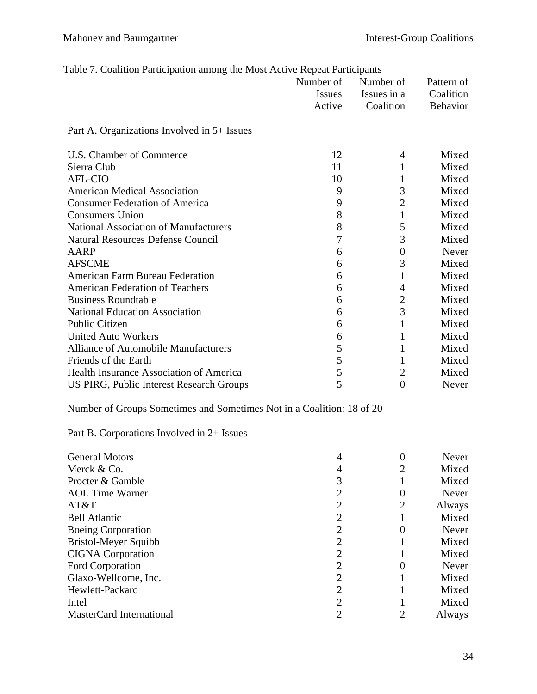|                                                                       | Number of      | Number of        | Pattern of |
|-----------------------------------------------------------------------|----------------|------------------|------------|
|                                                                       | <b>Issues</b>  | Issues in a      | Coalition  |
|                                                                       | Active         | Coalition        | Behavior   |
| Part A. Organizations Involved in 5+ Issues                           |                |                  |            |
| U.S. Chamber of Commerce                                              | 12             | 4                | Mixed      |
| Sierra Club                                                           | 11             | 1                | Mixed      |
| <b>AFL-CIO</b>                                                        | 10             | 1                | Mixed      |
| <b>American Medical Association</b>                                   | 9              | 3                | Mixed      |
| <b>Consumer Federation of America</b>                                 | 9              | $\overline{2}$   | Mixed      |
| <b>Consumers Union</b>                                                | 8              | $\mathbf{1}$     | Mixed      |
| <b>National Association of Manufacturers</b>                          | 8              | 5                | Mixed      |
| <b>Natural Resources Defense Council</b>                              | 7              | 3                | Mixed      |
| <b>AARP</b>                                                           | 6              | $\boldsymbol{0}$ | Never      |
| <b>AFSCME</b>                                                         | 6              | 3                | Mixed      |
| <b>American Farm Bureau Federation</b>                                | 6              | $\mathbf{1}$     | Mixed      |
| <b>American Federation of Teachers</b>                                | 6              | 4                | Mixed      |
| <b>Business Roundtable</b>                                            | 6              | $\overline{c}$   | Mixed      |
| <b>National Education Association</b>                                 | 6              | 3                | Mixed      |
| <b>Public Citizen</b>                                                 | 6              | 1                | Mixed      |
| <b>United Auto Workers</b>                                            | 6              | $\mathbf{1}$     | Mixed      |
| <b>Alliance of Automobile Manufacturers</b>                           | 5              | 1                | Mixed      |
| Friends of the Earth                                                  | 5              | 1                | Mixed      |
| Health Insurance Association of America                               | 5              | $\overline{c}$   | Mixed      |
| US PIRG, Public Interest Research Groups                              | 5              | $\overline{0}$   | Never      |
| Number of Groups Sometimes and Sometimes Not in a Coalition: 18 of 20 |                |                  |            |
| Part B. Corporations Involved in 2+ Issues                            |                |                  |            |
| <b>General Motors</b>                                                 | 4              | $\boldsymbol{0}$ | Never      |
| Merck & Co.                                                           | $\overline{4}$ | $\overline{c}$   | Mixed      |
| Procter & Gamble                                                      | 3              | $\mathbf{1}$     | Mixed      |
| <b>AOL Time Warner</b>                                                | $\overline{c}$ | $\boldsymbol{0}$ | Never      |
| AT&T                                                                  | $\overline{c}$ | $\overline{2}$   | Always     |
| <b>Bell Atlantic</b>                                                  | $\overline{2}$ | $\mathbf{1}$     | Mixed      |
| <b>Boeing Corporation</b>                                             | $\overline{c}$ | $\boldsymbol{0}$ | Never      |
| <b>Bristol-Meyer Squibb</b>                                           | $\overline{c}$ | 1                | Mixed      |
| <b>CIGNA</b> Corporation                                              | $\overline{c}$ | 1                | Mixed      |
| Ford Corporation                                                      | $\overline{c}$ | $\overline{0}$   | Never      |
| Glaxo-Wellcome, Inc.                                                  | $\overline{c}$ | 1                | Mixed      |
| Hewlett-Packard                                                       | $\overline{c}$ | 1                | Mixed      |
| Intel                                                                 | $\overline{c}$ |                  | Mixed      |
| MasterCard International                                              | $\overline{2}$ | $\overline{2}$   | Always     |

|  | Table 7. Coalition Participation among the Most Active Repeat Participants |  |  |  |
|--|----------------------------------------------------------------------------|--|--|--|
|  |                                                                            |  |  |  |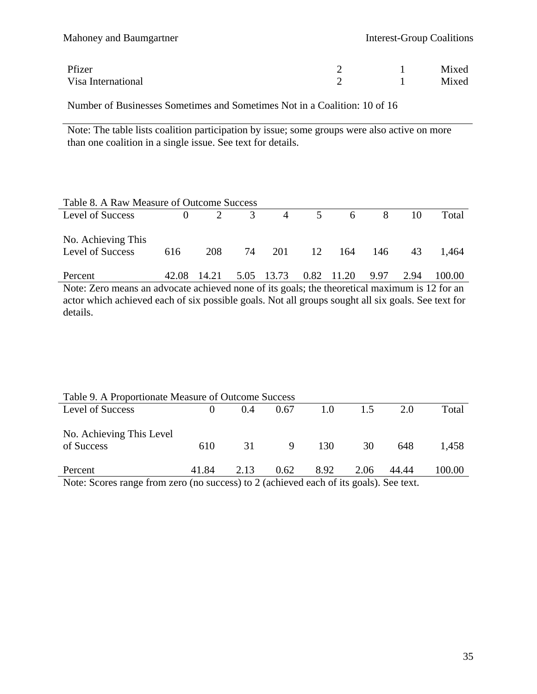| Mahoney and Baumgartner | <b>Interest-Group Coalitions</b> |       |
|-------------------------|----------------------------------|-------|
| Pfizer                  |                                  | Mixed |
| Visa International      |                                  | Mixed |

Number of Businesses Sometimes and Sometimes Not in a Coalition: 10 of 16

Note: The table lists coalition participation by issue; some groups were also active on more than one coalition in a single issue. See text for details.

| Table 8. A Raw Measure of Outcome Success |          |                |                         |            |  |                |      |      |        |
|-------------------------------------------|----------|----------------|-------------------------|------------|--|----------------|------|------|--------|
| Level of Success                          | $\Omega$ | $\overline{2}$ | $\overline{\mathbf{3}}$ |            |  | 4 5 6 8        |      | 10   | Total  |
| No. Achieving This<br>Level of Success    | 616      | 208            | 74                      |            |  | 201 12 164 146 |      | 43   | 1.464  |
| Percent                                   | 42.08    | 14.21          |                         | 5.05 13.73 |  | 0.82 11.20     | 9.97 | 2.94 | 100.00 |

Note: Zero means an advocate achieved none of its goals; the theoretical maximum is 12 for an actor which achieved each of six possible goals. Not all groups sought all six goals. See text for details.

| Table 9. A Proportionate Measure of Outcome Success                                   |       |       |      |      |      |       |        |
|---------------------------------------------------------------------------------------|-------|-------|------|------|------|-------|--------|
| Level of Success                                                                      |       | (0.4) | 0.67 | 1.0  | 1.5  | 2.0   | Total  |
| No. Achieving This Level<br>of Success                                                | 610   | 31    | 9    | 130  | 30   | 648   | 1.458  |
| Percent                                                                               | 41.84 | 2.13  | 0.62 | 8.92 | 2.06 | 44.44 | 100.00 |
| Note: Scores range from zero (no success) to 2 (achieved each of its goals). See text |       |       |      |      |      |       |        |

Note: Scores range from zero (no success) to 2 (achieved each of its goals). See text.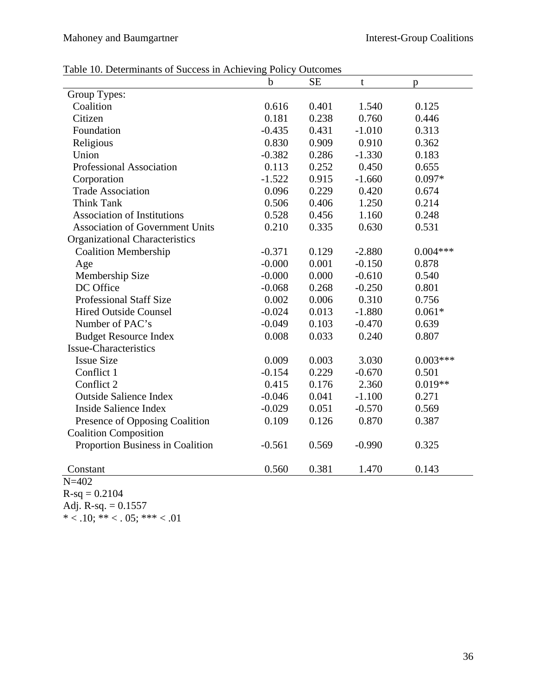# Mahoney and Baumgartner **Interest-Group Coalitions**

|  |  |  |  | Table 10. Determinants of Success in Achieving Policy Outcomes |  |
|--|--|--|--|----------------------------------------------------------------|--|
|--|--|--|--|----------------------------------------------------------------|--|

|                                        | $\mathbf b$ | <b>SE</b> | t        | p          |
|----------------------------------------|-------------|-----------|----------|------------|
| Group Types:                           |             |           |          |            |
| Coalition                              | 0.616       | 0.401     | 1.540    | 0.125      |
| Citizen                                | 0.181       | 0.238     | 0.760    | 0.446      |
| Foundation                             | $-0.435$    | 0.431     | $-1.010$ | 0.313      |
| Religious                              | 0.830       | 0.909     | 0.910    | 0.362      |
| Union                                  | $-0.382$    | 0.286     | $-1.330$ | 0.183      |
| <b>Professional Association</b>        | 0.113       | 0.252     | 0.450    | 0.655      |
| Corporation                            | $-1.522$    | 0.915     | $-1.660$ | $0.097*$   |
| <b>Trade Association</b>               | 0.096       | 0.229     | 0.420    | 0.674      |
| <b>Think Tank</b>                      | 0.506       | 0.406     | 1.250    | 0.214      |
| <b>Association of Institutions</b>     | 0.528       | 0.456     | 1.160    | 0.248      |
| <b>Association of Government Units</b> | 0.210       | 0.335     | 0.630    | 0.531      |
| Organizational Characteristics         |             |           |          |            |
| <b>Coalition Membership</b>            | $-0.371$    | 0.129     | $-2.880$ | $0.004***$ |
| Age                                    | $-0.000$    | 0.001     | $-0.150$ | 0.878      |
| Membership Size                        | $-0.000$    | 0.000     | $-0.610$ | 0.540      |
| DC Office                              | $-0.068$    | 0.268     | $-0.250$ | 0.801      |
| <b>Professional Staff Size</b>         | 0.002       | 0.006     | 0.310    | 0.756      |
| <b>Hired Outside Counsel</b>           | $-0.024$    | 0.013     | $-1.880$ | $0.061*$   |
| Number of PAC's                        | $-0.049$    | 0.103     | $-0.470$ | 0.639      |
| <b>Budget Resource Index</b>           | 0.008       | 0.033     | 0.240    | 0.807      |
| <b>Issue-Characteristics</b>           |             |           |          |            |
| <b>Issue Size</b>                      | 0.009       | 0.003     | 3.030    | $0.003***$ |
| Conflict 1                             | $-0.154$    | 0.229     | $-0.670$ | 0.501      |
| Conflict 2                             | 0.415       | 0.176     | 2.360    | $0.019**$  |
| <b>Outside Salience Index</b>          | $-0.046$    | 0.041     | $-1.100$ | 0.271      |
| Inside Salience Index                  | $-0.029$    | 0.051     | $-0.570$ | 0.569      |
| Presence of Opposing Coalition         | 0.109       | 0.126     | 0.870    | 0.387      |
| <b>Coalition Composition</b>           |             |           |          |            |
| Proportion Business in Coalition       | $-0.561$    | 0.569     | $-0.990$ | 0.325      |
| Constant                               | 0.560       | 0.381     | 1.470    | 0.143      |
| $N = 402$                              |             |           |          |            |

 $R-sq = 0.2104$ 

Adj. R-sq.  $= 0.1557$ 

\*  $<$  .10; \*\*  $<$  . 05; \*\*\*  $<$  .01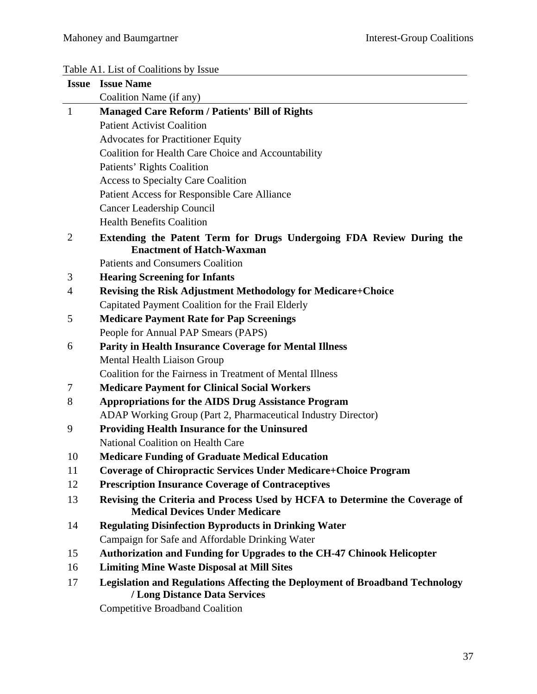# Table A1. List of Coalitions by Issue

|              | <b>Issue Issue Name</b>                                                                                              |
|--------------|----------------------------------------------------------------------------------------------------------------------|
|              | Coalition Name (if any)                                                                                              |
| $\mathbf{1}$ | <b>Managed Care Reform / Patients' Bill of Rights</b>                                                                |
|              | <b>Patient Activist Coalition</b>                                                                                    |
|              | <b>Advocates for Practitioner Equity</b>                                                                             |
|              | Coalition for Health Care Choice and Accountability                                                                  |
|              | Patients' Rights Coalition                                                                                           |
|              | <b>Access to Specialty Care Coalition</b>                                                                            |
|              | <b>Patient Access for Responsible Care Alliance</b>                                                                  |
|              | Cancer Leadership Council                                                                                            |
|              | <b>Health Benefits Coalition</b>                                                                                     |
| 2            | Extending the Patent Term for Drugs Undergoing FDA Review During the<br><b>Enactment of Hatch-Waxman</b>             |
|              | <b>Patients and Consumers Coalition</b>                                                                              |
| 3            | <b>Hearing Screening for Infants</b>                                                                                 |
| 4            | <b>Revising the Risk Adjustment Methodology for Medicare+Choice</b>                                                  |
|              | Capitated Payment Coalition for the Frail Elderly                                                                    |
| 5            | <b>Medicare Payment Rate for Pap Screenings</b>                                                                      |
|              | People for Annual PAP Smears (PAPS)                                                                                  |
| 6            | <b>Parity in Health Insurance Coverage for Mental Illness</b>                                                        |
|              | <b>Mental Health Liaison Group</b>                                                                                   |
|              | Coalition for the Fairness in Treatment of Mental Illness                                                            |
| 7            | <b>Medicare Payment for Clinical Social Workers</b>                                                                  |
| 8            | <b>Appropriations for the AIDS Drug Assistance Program</b>                                                           |
|              | ADAP Working Group (Part 2, Pharmaceutical Industry Director)                                                        |
| 9            | <b>Providing Health Insurance for the Uninsured</b>                                                                  |
|              | National Coalition on Health Care                                                                                    |
| 10           | <b>Medicare Funding of Graduate Medical Education</b>                                                                |
| 11           | <b>Coverage of Chiropractic Services Under Medicare+Choice Program</b>                                               |
| 12           | <b>Prescription Insurance Coverage of Contraceptives</b>                                                             |
| 13           | Revising the Criteria and Process Used by HCFA to Determine the Coverage of<br><b>Medical Devices Under Medicare</b> |
| 14           | <b>Regulating Disinfection Byproducts in Drinking Water</b>                                                          |
|              | Campaign for Safe and Affordable Drinking Water                                                                      |
| 15           | Authorization and Funding for Upgrades to the CH-47 Chinook Helicopter                                               |
| 16           | <b>Limiting Mine Waste Disposal at Mill Sites</b>                                                                    |
| 17           | <b>Legislation and Regulations Affecting the Deployment of Broadband Technology</b><br>/ Long Distance Data Services |

Competitive Broadband Coalition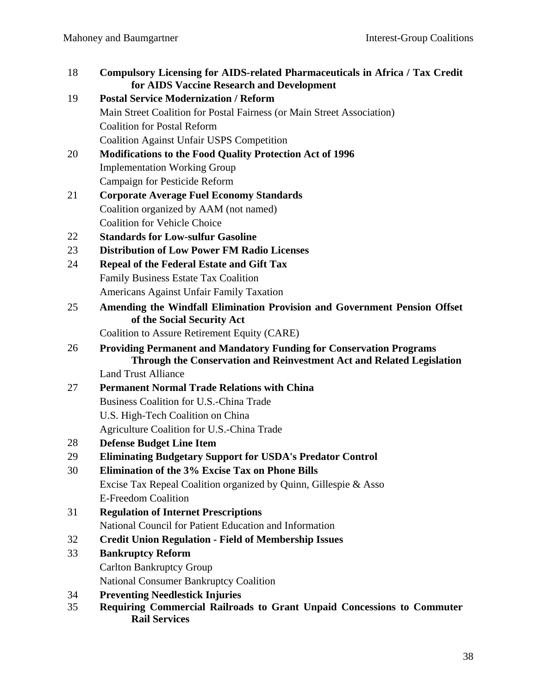| 18 | <b>Compulsory Licensing for AIDS-related Pharmaceuticals in Africa / Tax Credit</b><br>for AIDS Vaccine Research and Development                    |
|----|-----------------------------------------------------------------------------------------------------------------------------------------------------|
| 19 | <b>Postal Service Modernization / Reform</b>                                                                                                        |
|    | Main Street Coalition for Postal Fairness (or Main Street Association)                                                                              |
|    | <b>Coalition for Postal Reform</b>                                                                                                                  |
|    | <b>Coalition Against Unfair USPS Competition</b>                                                                                                    |
| 20 | <b>Modifications to the Food Quality Protection Act of 1996</b>                                                                                     |
|    | <b>Implementation Working Group</b>                                                                                                                 |
|    | Campaign for Pesticide Reform                                                                                                                       |
| 21 | <b>Corporate Average Fuel Economy Standards</b>                                                                                                     |
|    | Coalition organized by AAM (not named)                                                                                                              |
|    | <b>Coalition for Vehicle Choice</b>                                                                                                                 |
| 22 | <b>Standards for Low-sulfur Gasoline</b>                                                                                                            |
| 23 | <b>Distribution of Low Power FM Radio Licenses</b>                                                                                                  |
| 24 | <b>Repeal of the Federal Estate and Gift Tax</b>                                                                                                    |
|    | Family Business Estate Tax Coalition                                                                                                                |
|    | Americans Against Unfair Family Taxation                                                                                                            |
| 25 | Amending the Windfall Elimination Provision and Government Pension Offset<br>of the Social Security Act                                             |
|    | Coalition to Assure Retirement Equity (CARE)                                                                                                        |
| 26 | <b>Providing Permanent and Mandatory Funding for Conservation Programs</b><br>Through the Conservation and Reinvestment Act and Related Legislation |
|    | <b>Land Trust Alliance</b>                                                                                                                          |
| 27 | <b>Permanent Normal Trade Relations with China</b>                                                                                                  |
|    | Business Coalition for U.S.-China Trade                                                                                                             |
|    | U.S. High-Tech Coalition on China                                                                                                                   |
|    | Agriculture Coalition for U.S.-China Trade                                                                                                          |
| 28 | <b>Defense Budget Line Item</b>                                                                                                                     |
| 29 | <b>Eliminating Budgetary Support for USDA's Predator Control</b>                                                                                    |
| 30 | Elimination of the 3% Excise Tax on Phone Bills                                                                                                     |
|    | Excise Tax Repeal Coalition organized by Quinn, Gillespie & Asso                                                                                    |
|    | <b>E-Freedom Coalition</b>                                                                                                                          |
| 31 | <b>Regulation of Internet Prescriptions</b>                                                                                                         |
|    | National Council for Patient Education and Information                                                                                              |
| 32 | <b>Credit Union Regulation - Field of Membership Issues</b>                                                                                         |
| 33 | <b>Bankruptcy Reform</b>                                                                                                                            |
|    | <b>Carlton Bankruptcy Group</b>                                                                                                                     |
|    | <b>National Consumer Bankruptcy Coalition</b>                                                                                                       |
| 34 | <b>Preventing Needlestick Injuries</b>                                                                                                              |
| 35 | Requiring Commercial Railroads to Grant Unpaid Concessions to Commuter<br><b>Rail Services</b>                                                      |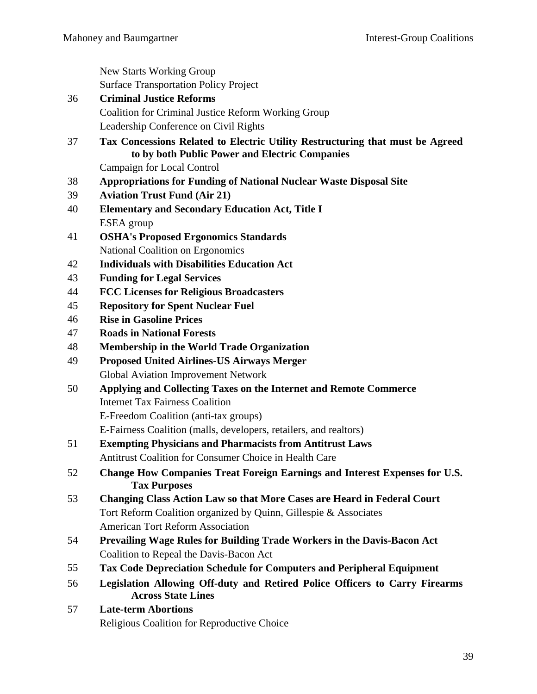New Starts Working Group Surface Transportation Policy Project

- 36 **Criminal Justice Reforms**  Coalition for Criminal Justice Reform Working Group Leadership Conference on Civil Rights
- 37 **Tax Concessions Related to Electric Utility Restructuring that must be Agreed to by both Public Power and Electric Companies**

Campaign for Local Control

- 38 **Appropriations for Funding of National Nuclear Waste Disposal Site**
- 39 **Aviation Trust Fund (Air 21)**
- 40 **Elementary and Secondary Education Act, Title I**  ESEA group
- 41 **OSHA's Proposed Ergonomics Standards**  National Coalition on Ergonomics
- 42 **Individuals with Disabilities Education Act**
- 43 **Funding for Legal Services**
- 44 **FCC Licenses for Religious Broadcasters**
- 45 **Repository for Spent Nuclear Fuel**
- 46 **Rise in Gasoline Prices**
- 47 **Roads in National Forests**
- 48 **Membership in the World Trade Organization**
- 49 **Proposed United Airlines-US Airways Merger**  Global Aviation Improvement Network
- 50 **Applying and Collecting Taxes on the Internet and Remote Commerce**  Internet Tax Fairness Coalition E-Freedom Coalition (anti-tax groups)

E-Fairness Coalition (malls, developers, retailers, and realtors)

- 51 **Exempting Physicians and Pharmacists from Antitrust Laws**  Antitrust Coalition for Consumer Choice in Health Care
- 52 **Change How Companies Treat Foreign Earnings and Interest Expenses for U.S. Tax Purposes**
- 53 **Changing Class Action Law so that More Cases are Heard in Federal Court**  Tort Reform Coalition organized by Quinn, Gillespie & Associates American Tort Reform Association
- 54 **Prevailing Wage Rules for Building Trade Workers in the Davis-Bacon Act**  Coalition to Repeal the Davis-Bacon Act
- 55 **Tax Code Depreciation Schedule for Computers and Peripheral Equipment**
- 56 **Legislation Allowing Off-duty and Retired Police Officers to Carry Firearms Across State Lines**
- 57 **Late-term Abortions**  Religious Coalition for Reproductive Choice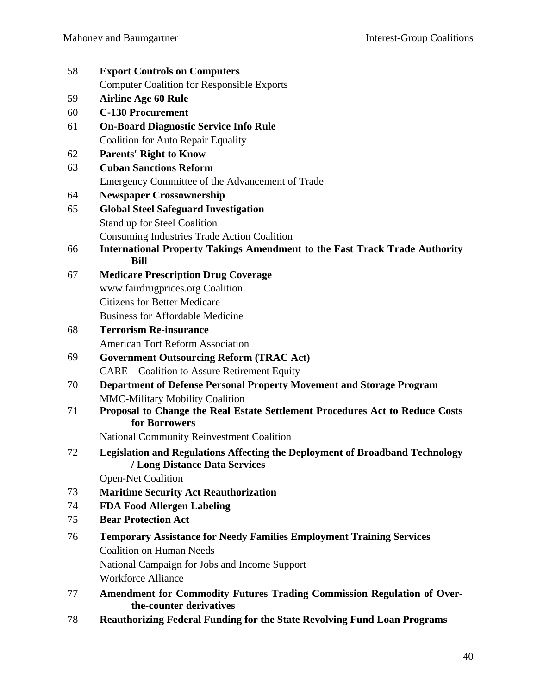| 58 | <b>Export Controls on Computers</b>                                                                                  |
|----|----------------------------------------------------------------------------------------------------------------------|
|    | <b>Computer Coalition for Responsible Exports</b>                                                                    |
| 59 | <b>Airline Age 60 Rule</b>                                                                                           |
| 60 | <b>C-130 Procurement</b>                                                                                             |
| 61 | <b>On-Board Diagnostic Service Info Rule</b>                                                                         |
|    | <b>Coalition for Auto Repair Equality</b>                                                                            |
| 62 | <b>Parents' Right to Know</b>                                                                                        |
| 63 | <b>Cuban Sanctions Reform</b>                                                                                        |
|    | Emergency Committee of the Advancement of Trade                                                                      |
| 64 | <b>Newspaper Crossownership</b>                                                                                      |
| 65 | <b>Global Steel Safeguard Investigation</b>                                                                          |
|    | Stand up for Steel Coalition                                                                                         |
|    | <b>Consuming Industries Trade Action Coalition</b>                                                                   |
| 66 | <b>International Property Takings Amendment to the Fast Track Trade Authority</b><br><b>Bill</b>                     |
| 67 | <b>Medicare Prescription Drug Coverage</b>                                                                           |
|    | www.fairdrugprices.org Coalition                                                                                     |
|    | <b>Citizens for Better Medicare</b>                                                                                  |
|    | <b>Business for Affordable Medicine</b>                                                                              |
| 68 | <b>Terrorism Re-insurance</b>                                                                                        |
|    | <b>American Tort Reform Association</b>                                                                              |
| 69 | <b>Government Outsourcing Reform (TRAC Act)</b>                                                                      |
|    | <b>CARE</b> – Coalition to Assure Retirement Equity                                                                  |
| 70 | <b>Department of Defense Personal Property Movement and Storage Program</b>                                          |
|    | <b>MMC-Military Mobility Coalition</b>                                                                               |
| 71 | Proposal to Change the Real Estate Settlement Procedures Act to Reduce Costs                                         |
|    | for Borrowers                                                                                                        |
|    | <b>National Community Reinvestment Coalition</b>                                                                     |
| 72 | <b>Legislation and Regulations Affecting the Deployment of Broadband Technology</b><br>/ Long Distance Data Services |
|    | <b>Open-Net Coalition</b>                                                                                            |
| 73 | <b>Maritime Security Act Reauthorization</b>                                                                         |
| 74 | <b>FDA Food Allergen Labeling</b>                                                                                    |
| 75 | <b>Bear Protection Act</b>                                                                                           |
| 76 | <b>Temporary Assistance for Needy Families Employment Training Services</b>                                          |
|    | <b>Coalition on Human Needs</b>                                                                                      |
|    | National Campaign for Jobs and Income Support                                                                        |
|    | <b>Workforce Alliance</b>                                                                                            |
| 77 | Amendment for Commodity Futures Trading Commission Regulation of Over-<br>the-counter derivatives                    |
| 78 | <b>Reauthorizing Federal Funding for the State Revolving Fund Loan Programs</b>                                      |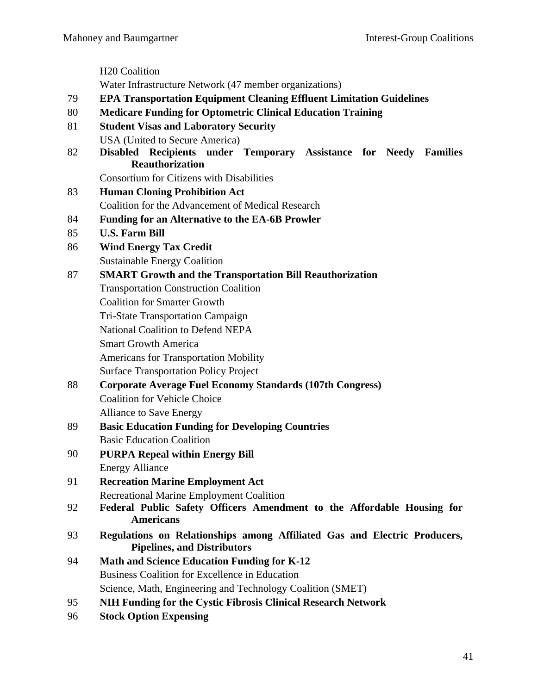H20 Coalition Water Infrastructure Network (47 member organizations) 79 **EPA Transportation Equipment Cleaning Effluent Limitation Guidelines**  80 **Medicare Funding for Optometric Clinical Education Training**  81 **Student Visas and Laboratory Security**  USA (United to Secure America) 82 **Disabled Recipients under Temporary Assistance for Needy Families Reauthorization**  Consortium for Citizens with Disabilities 83 **Human Cloning Prohibition Act**  Coalition for the Advancement of Medical Research 84 **Funding for an Alternative to the EA-6B Prowler**  85 **U.S. Farm Bill**  86 **Wind Energy Tax Credit**  Sustainable Energy Coalition 87 **SMART Growth and the Transportation Bill Reauthorization**  Transportation Construction Coalition Coalition for Smarter Growth Tri-State Transportation Campaign National Coalition to Defend NEPA Smart Growth America Americans for Transportation Mobility Surface Transportation Policy Project 88 **Corporate Average Fuel Economy Standards (107th Congress)**  Coalition for Vehicle Choice Alliance to Save Energy 89 **Basic Education Funding for Developing Countries**  Basic Education Coalition 90 **PURPA Repeal within Energy Bill**  Energy Alliance 91 **Recreation Marine Employment Act**  Recreational Marine Employment Coalition 92 **Federal Public Safety Officers Amendment to the Affordable Housing for Americans**  93 **Regulations on Relationships among Affiliated Gas and Electric Producers, Pipelines, and Distributors**  94 **Math and Science Education Funding for K-12**  Business Coalition for Excellence in Education Science, Math, Engineering and Technology Coalition (SMET) 95 **NIH Funding for the Cystic Fibrosis Clinical Research Network** 

96 **Stock Option Expensing**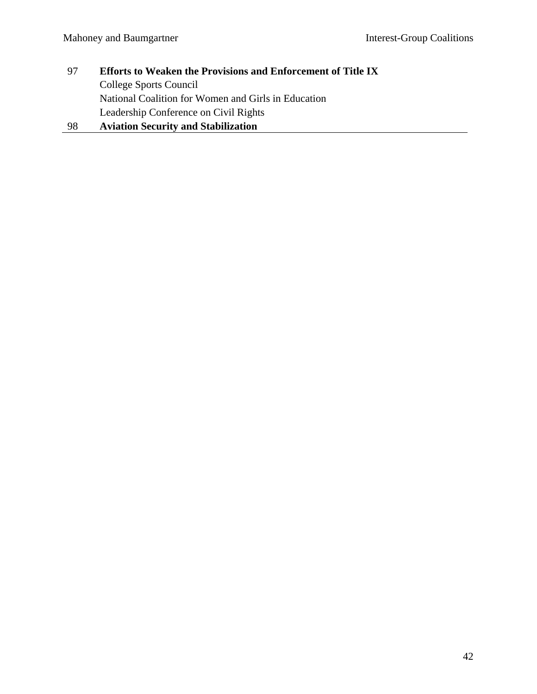- 97 **Efforts to Weaken the Provisions and Enforcement of Title IX**  College Sports Council National Coalition for Women and Girls in Education Leadership Conference on Civil Rights
- 98 **Aviation Security and Stabilization**